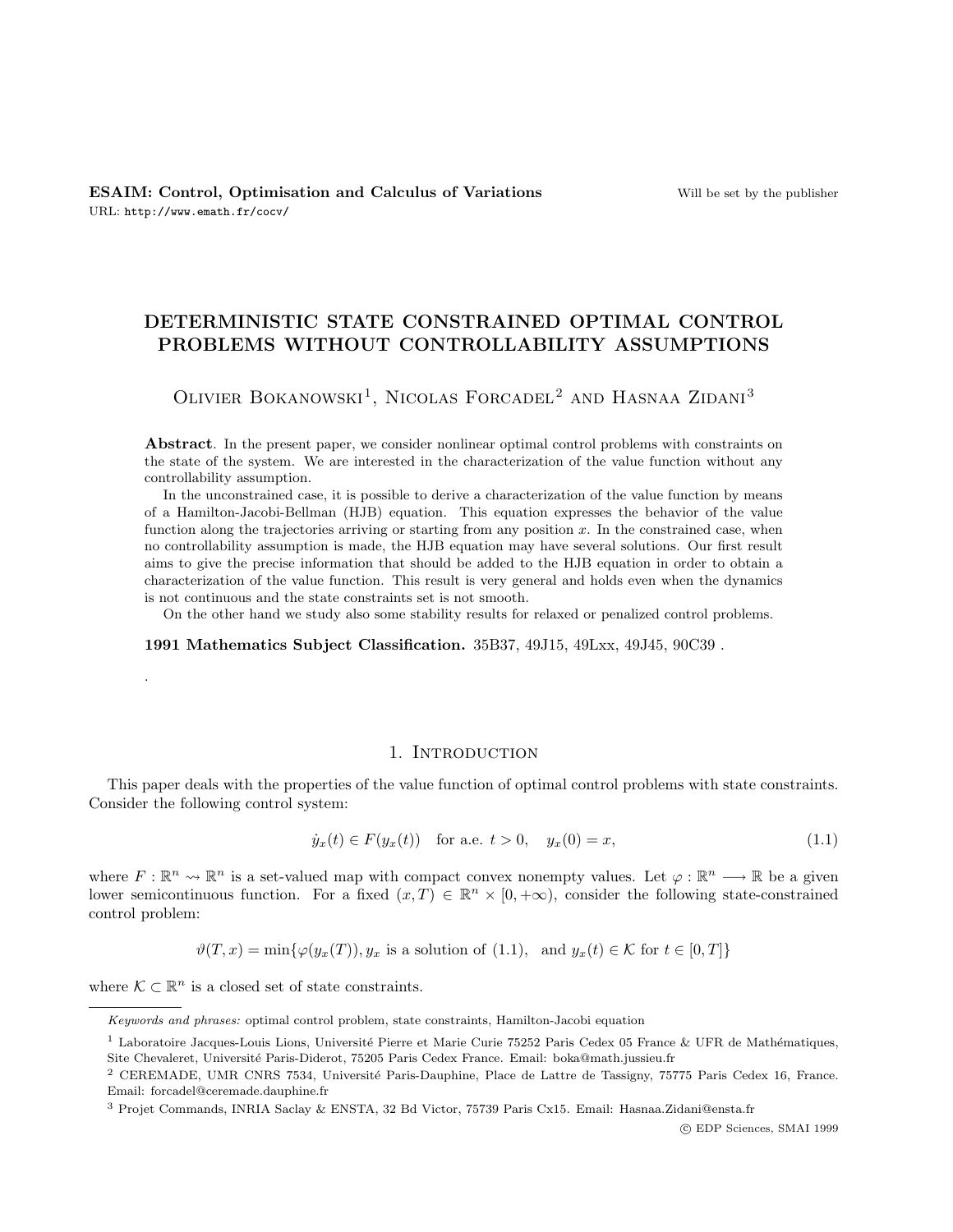# DETERMINISTIC STATE CONSTRAINED OPTIMAL CONTROL PROBLEMS WITHOUT CONTROLLABILITY ASSUMPTIONS

OLIVIER BOKANOWSKI<sup>1</sup>, NICOLAS FORCADEL<sup>2</sup> AND HASNAA ZIDANI<sup>3</sup>

Abstract. In the present paper, we consider nonlinear optimal control problems with constraints on the state of the system. We are interested in the characterization of the value function without any controllability assumption.

In the unconstrained case, it is possible to derive a characterization of the value function by means of a Hamilton-Jacobi-Bellman (HJB) equation. This equation expresses the behavior of the value function along the trajectories arriving or starting from any position  $x$ . In the constrained case, when no controllability assumption is made, the HJB equation may have several solutions. Our first result aims to give the precise information that should be added to the HJB equation in order to obtain a characterization of the value function. This result is very general and holds even when the dynamics is not continuous and the state constraints set is not smooth.

On the other hand we study also some stability results for relaxed or penalized control problems.

1991 Mathematics Subject Classification. 35B37, 49J15, 49Lxx, 49J45, 90C39 .

# 1. INTRODUCTION

This paper deals with the properties of the value function of optimal control problems with state constraints. Consider the following control system:

$$
\dot{y}_x(t) \in F(y_x(t)) \quad \text{for a.e. } t > 0, \quad y_x(0) = x,\tag{1.1}
$$

where  $F: \mathbb{R}^n \to \mathbb{R}^n$  is a set-valued map with compact convex nonempty values. Let  $\varphi: \mathbb{R}^n \to \mathbb{R}$  be a given lower semicontinuous function. For a fixed  $(x,T) \in \mathbb{R}^n \times [0,+\infty)$ , consider the following state-constrained control problem:

$$
\vartheta(T, x) = \min\{\varphi(y_x(T)), y_x \text{ is a solution of (1.1), and } y_x(t) \in \mathcal{K} \text{ for } t \in [0, T]\}
$$

where  $K \subset \mathbb{R}^n$  is a closed set of state constraints.

.

Keywords and phrases: optimal control problem, state constraints, Hamilton-Jacobi equation

<sup>&</sup>lt;sup>1</sup> Laboratoire Jacques-Louis Lions, Université Pierre et Marie Curie 75252 Paris Cedex 05 France & UFR de Mathématiques, Site Chevaleret, Université Paris-Diderot, 75205 Paris Cedex France. Email: boka@math.jussieu.fr

<sup>&</sup>lt;sup>2</sup> CEREMADE, UMR CNRS 7534, Université Paris-Dauphine, Place de Lattre de Tassigny, 75775 Paris Cedex 16, France. Email: forcadel@ceremade.dauphine.fr

<sup>3</sup> Projet Commands, INRIA Saclay & ENSTA, 32 Bd Victor, 75739 Paris Cx15. Email: Hasnaa.Zidani@ensta.fr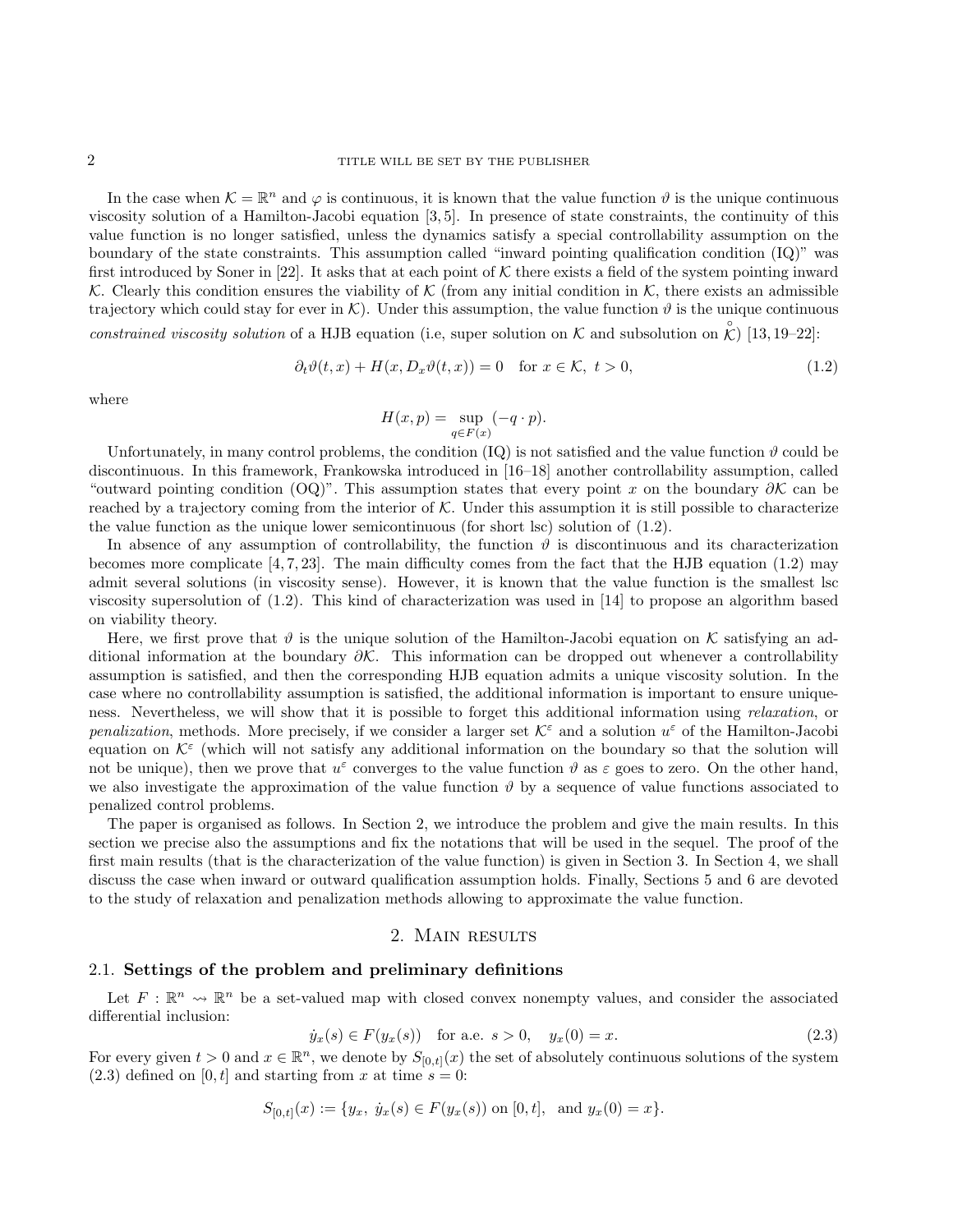In the case when  $\mathcal{K} = \mathbb{R}^n$  and  $\varphi$  is continuous, it is known that the value function  $\vartheta$  is the unique continuous viscosity solution of a Hamilton-Jacobi equation [3, 5]. In presence of state constraints, the continuity of this value function is no longer satisfied, unless the dynamics satisfy a special controllability assumption on the boundary of the state constraints. This assumption called "inward pointing qualification condition (IQ)" was first introduced by Soner in [22]. It asks that at each point of  $K$  there exists a field of the system pointing inward K. Clearly this condition ensures the viability of K (from any initial condition in K, there exists an admissible trajectory which could stay for ever in K). Under this assumption, the value function  $\vartheta$  is the unique continuous constrained viscosity solution of a HJB equation (i.e, super solution on K and subsolution on  $\hat{K}$ ) [13, 19–22]:

$$
\partial_t \vartheta(t, x) + H(x, D_x \vartheta(t, x)) = 0 \quad \text{for } x \in \mathcal{K}, \ t > 0,
$$
\n
$$
(1.2)
$$

where

$$
H(x,p) = \sup_{q \in F(x)} (-q \cdot p).
$$

Unfortunately, in many control problems, the condition  $(IQ)$  is not satisfied and the value function  $\vartheta$  could be discontinuous. In this framework, Frankowska introduced in [16–18] another controllability assumption, called "outward pointing condition (OQ)". This assumption states that every point x on the boundary  $\partial \mathcal{K}$  can be reached by a trajectory coming from the interior of  $K$ . Under this assumption it is still possible to characterize the value function as the unique lower semicontinuous (for short lsc) solution of (1.2).

In absence of any assumption of controllability, the function  $\vartheta$  is discontinuous and its characterization becomes more complicate  $[4, 7, 23]$ . The main difficulty comes from the fact that the HJB equation  $(1.2)$  may admit several solutions (in viscosity sense). However, it is known that the value function is the smallest lsc viscosity supersolution of (1.2). This kind of characterization was used in [14] to propose an algorithm based on viability theory.

Here, we first prove that  $\vartheta$  is the unique solution of the Hamilton-Jacobi equation on K satisfying an additional information at the boundary  $\partial \mathcal{K}$ . This information can be dropped out whenever a controllability assumption is satisfied, and then the corresponding HJB equation admits a unique viscosity solution. In the case where no controllability assumption is satisfied, the additional information is important to ensure uniqueness. Nevertheless, we will show that it is possible to forget this additional information using *relaxation*, or penalization, methods. More precisely, if we consider a larger set  $\mathcal{K}^{\varepsilon}$  and a solution  $u^{\varepsilon}$  of the Hamilton-Jacobi equation on  $K^{\varepsilon}$  (which will not satisfy any additional information on the boundary so that the solution will not be unique), then we prove that  $u^{\varepsilon}$  converges to the value function  $\vartheta$  as  $\varepsilon$  goes to zero. On the other hand, we also investigate the approximation of the value function  $\vartheta$  by a sequence of value functions associated to penalized control problems.

The paper is organised as follows. In Section 2, we introduce the problem and give the main results. In this section we precise also the assumptions and fix the notations that will be used in the sequel. The proof of the first main results (that is the characterization of the value function) is given in Section 3. In Section 4, we shall discuss the case when inward or outward qualification assumption holds. Finally, Sections 5 and 6 are devoted to the study of relaxation and penalization methods allowing to approximate the value function.

#### 2. MAIN RESULTS

# 2.1. Settings of the problem and preliminary definitions

Let  $F: \mathbb{R}^n \to \mathbb{R}^n$  be a set-valued map with closed convex nonempty values, and consider the associated differential inclusion:

$$
\dot{y}_x(s) \in F(y_x(s)) \quad \text{for a.e. } s > 0, \quad y_x(0) = x. \tag{2.3}
$$

For every given  $t > 0$  and  $x \in \mathbb{R}^n$ , we denote by  $S_{[0,t]}(x)$  the set of absolutely continuous solutions of the system  $(2.3)$  defined on  $[0, t]$  and starting from x at time  $s = 0$ :

$$
S_{[0,t]}(x) := \{y_x, \ y_x(s) \in F(y_x(s)) \text{ on } [0,t], \text{ and } y_x(0) = x\}.
$$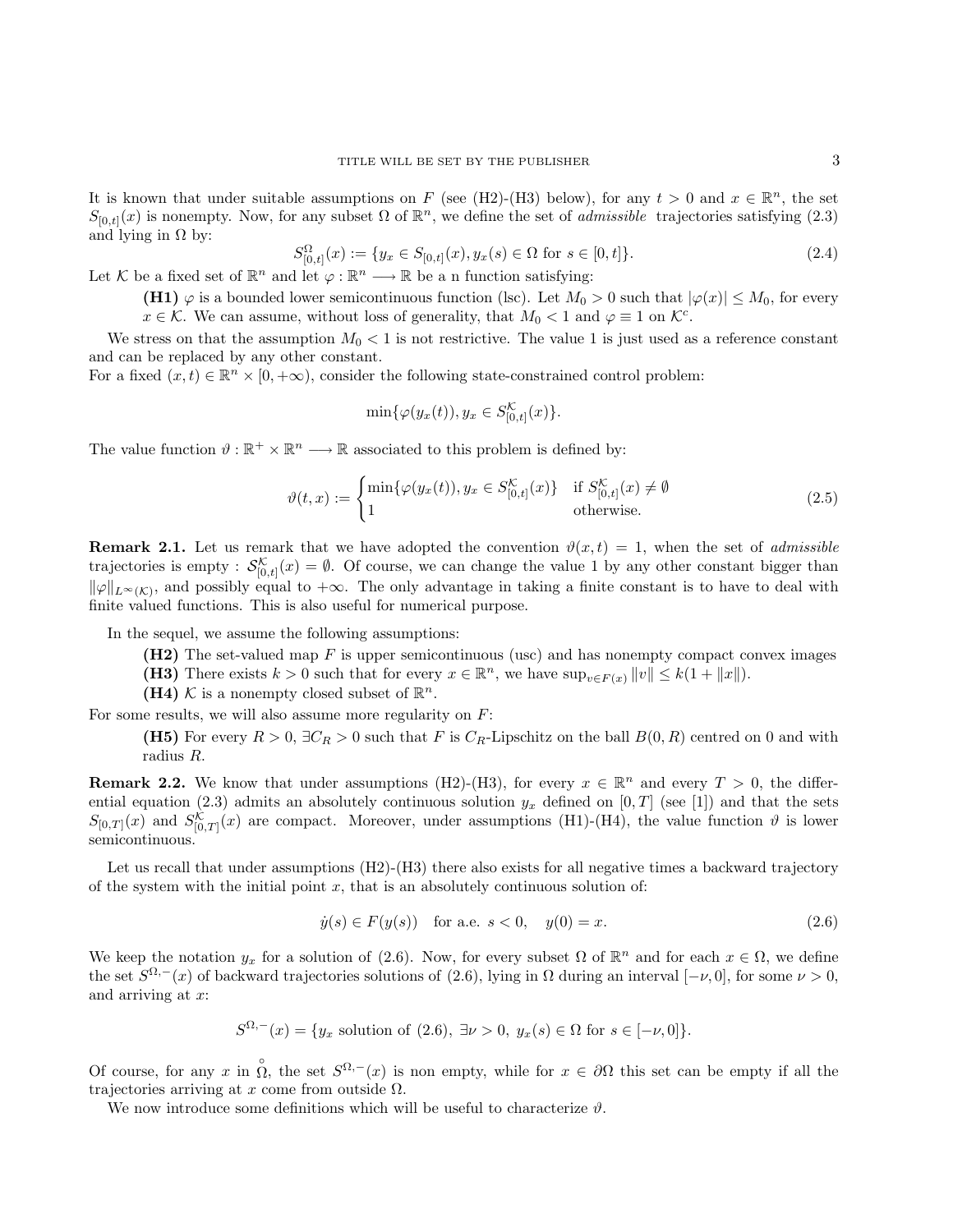It is known that under suitable assumptions on F (see (H2)-(H3) below), for any  $t > 0$  and  $x \in \mathbb{R}^n$ , the set  $S_{[0,t]}(x)$  is nonempty. Now, for any subset  $\Omega$  of  $\mathbb{R}^n$ , we define the set of *admissible* trajectories satisfying (2.3) and lying in  $\Omega$  by:

$$
S_{[0,t]}^{\Omega}(x) := \{ y_x \in S_{[0,t]}(x), y_x(s) \in \Omega \text{ for } s \in [0,t] \}. \tag{2.4}
$$

Let K be a fixed set of  $\mathbb{R}^n$  and let  $\varphi : \mathbb{R}^n \longrightarrow \mathbb{R}$  be a n function satisfying:

(H1)  $\varphi$  is a bounded lower semicontinuous function (lsc). Let  $M_0 > 0$  such that  $|\varphi(x)| \leq M_0$ , for every  $x \in \mathcal{K}$ . We can assume, without loss of generality, that  $M_0 < 1$  and  $\varphi \equiv 1$  on  $\mathcal{K}^c$ .

We stress on that the assumption  $M_0 < 1$  is not restrictive. The value 1 is just used as a reference constant and can be replaced by any other constant.

For a fixed  $(x,t) \in \mathbb{R}^n \times [0,+\infty)$ , consider the following state-constrained control problem:

$$
\min{\{\varphi(y_x(t)), y_x \in S_{[0,t]}^{\mathcal{K}}(x)\}}.
$$

The value function  $\vartheta : \mathbb{R}^+ \times \mathbb{R}^n \longrightarrow \mathbb{R}$  associated to this problem is defined by:

$$
\vartheta(t,x) := \begin{cases} \min\{\varphi(y_x(t)), y_x \in S^{\mathcal{K}}_{[0,t]}(x)\} & \text{if } S^{\mathcal{K}}_{[0,t]}(x) \neq \emptyset \\ 1 & \text{otherwise.} \end{cases}
$$
(2.5)

**Remark 2.1.** Let us remark that we have adopted the convention  $\vartheta(x,t) = 1$ , when the set of *admissible* trajectories is empty :  $\mathcal{S}_{[0,t]}^{\mathcal{K}}(x) = \emptyset$ . Of course, we can change the value 1 by any other constant bigger than  $\|\varphi\|_{L^{\infty}(\mathcal{K})}$ , and possibly equal to  $+\infty$ . The only advantage in taking a finite constant is to have to deal with finite valued functions. This is also useful for numerical purpose.

In the sequel, we assume the following assumptions:

- $(H2)$  The set-valued map F is upper semicontinuous (usc) and has nonempty compact convex images
- (H3) There exists  $k > 0$  such that for every  $x \in \mathbb{R}^n$ , we have  $\sup_{v \in F(x)} ||v|| \leq k(1 + ||x||)$ .
- (H4) K is a nonempty closed subset of  $\mathbb{R}^n$ .

For some results, we will also assume more regularity on  $F$ :

(H5) For every  $R > 0$ ,  $\exists C_R > 0$  such that F is  $C_R$ -Lipschitz on the ball  $B(0, R)$  centred on 0 and with radius R.

**Remark 2.2.** We know that under assumptions (H2)-(H3), for every  $x \in \mathbb{R}^n$  and every  $T > 0$ , the differential equation (2.3) admits an absolutely continuous solution  $y_x$  defined on [0, T] (see [1]) and that the sets  $S_{[0,T]}(x)$  and  $S_{[0,T]}^{\mathcal{K}}(x)$  are compact. Moreover, under assumptions (H1)-(H4), the value function  $\vartheta$  is lower semicontinuous.

Let us recall that under assumptions (H2)-(H3) there also exists for all negative times a backward trajectory of the system with the initial point  $x$ , that is an absolutely continuous solution of:

$$
\dot{y}(s) \in F(y(s))
$$
 for a.e.  $s < 0$ ,  $y(0) = x$ . (2.6)

We keep the notation  $y_x$  for a solution of (2.6). Now, for every subset  $\Omega$  of  $\mathbb{R}^n$  and for each  $x \in \Omega$ , we define the set  $S^{\Omega,-}(x)$  of backward trajectories solutions of (2.6), lying in  $\Omega$  during an interval  $[-\nu,0]$ , for some  $\nu > 0$ , and arriving at x:

$$
S^{\Omega,-}(x) = \{ y_x \text{ solution of } (2.6), \exists \nu > 0, y_x(s) \in \Omega \text{ for } s \in [-\nu, 0] \}.
$$

Of course, for any x in  $\hat{\Omega}$ , the set  $S^{\Omega,-}(x)$  is non empty, while for  $x \in \partial\Omega$  this set can be empty if all the trajectories arriving at x come from outside  $\Omega$ .

We now introduce some definitions which will be useful to characterize  $\vartheta$ .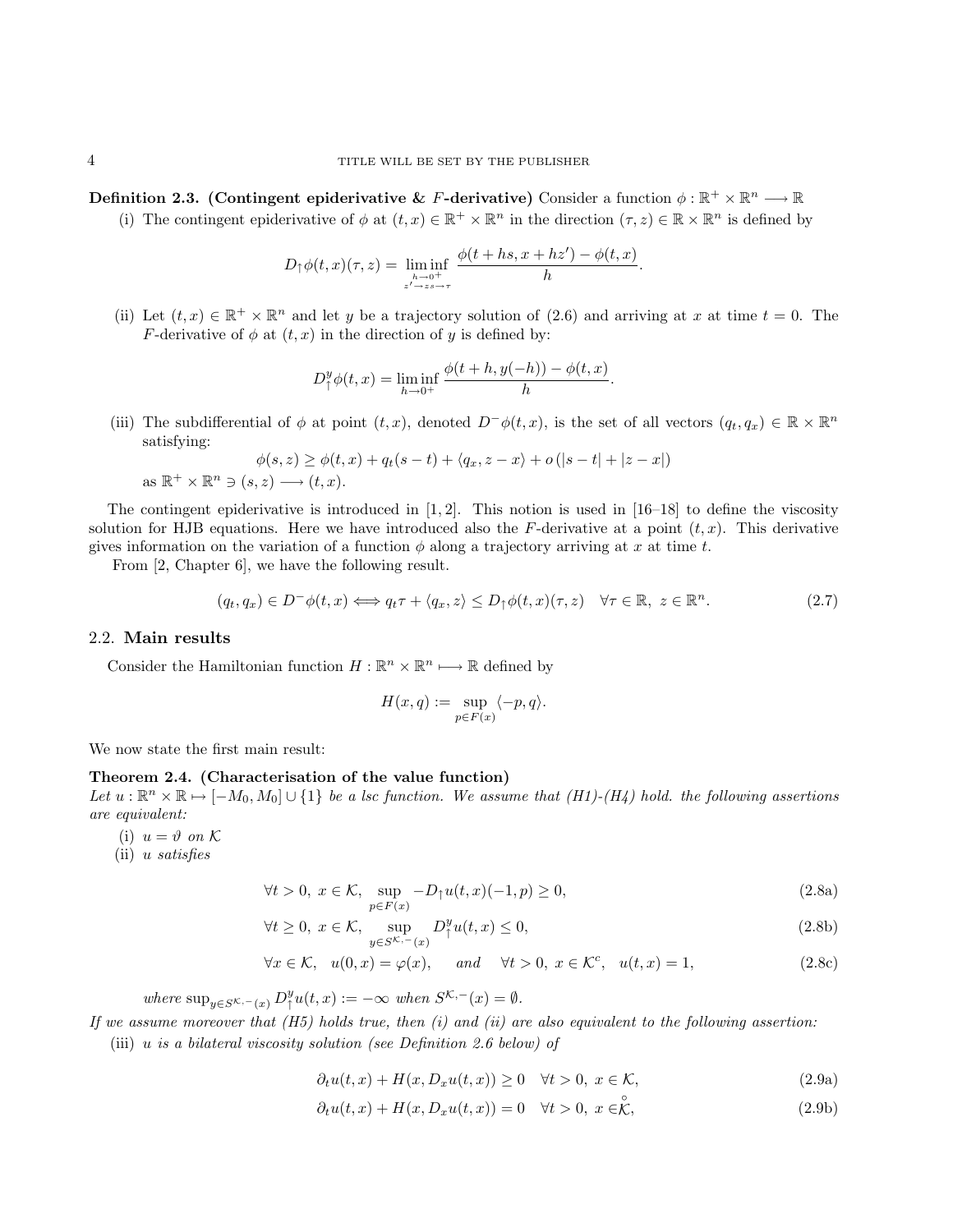Definition 2.3. (Contingent epiderivative & F-derivative) Consider a function  $\phi : \mathbb{R}^+ \times \mathbb{R}^n \longrightarrow \mathbb{R}$ 

(i) The contingent epiderivative of  $\phi$  at  $(t, x) \in \mathbb{R}^+ \times \mathbb{R}^n$  in the direction  $(\tau, z) \in \mathbb{R} \times \mathbb{R}^n$  is defined by

$$
D_{\uparrow} \phi(t,x)(\tau,z) = \liminf_{\substack{h \to 0^+ \\ z' \to z \to \tau}} \frac{\phi(t + hs, x + hz') - \phi(t,x)}{h}.
$$

(ii) Let  $(t, x) \in \mathbb{R}^+ \times \mathbb{R}^n$  and let y be a trajectory solution of (2.6) and arriving at x at time  $t = 0$ . The F-derivative of  $\phi$  at  $(t, x)$  in the direction of y is defined by:

$$
D_{\uparrow}^{y} \phi(t, x) = \liminf_{h \to 0^{+}} \frac{\phi(t + h, y(-h)) - \phi(t, x)}{h}.
$$

(iii) The subdifferential of  $\phi$  at point  $(t, x)$ , denoted  $D^-\phi(t, x)$ , is the set of all vectors  $(q_t, q_x) \in \mathbb{R} \times \mathbb{R}^n$ satisfying:

$$
\phi(s, z) \ge \phi(t, x) + q_t(s - t) + \langle q_x, z - x \rangle + o(|s - t| + |z - x|)
$$
  
as  $\mathbb{R}^+ \times \mathbb{R}^n \ni (s, z) \longrightarrow (t, x).$ 

The contingent epiderivative is introduced in  $[1, 2]$ . This notion is used in  $[16–18]$  to define the viscosity solution for HJB equations. Here we have introduced also the F-derivative at a point  $(t, x)$ . This derivative gives information on the variation of a function  $\phi$  along a trajectory arriving at x at time t.

From [2, Chapter 6], we have the following result.

$$
(q_t, q_x) \in D^-\phi(t, x) \Longleftrightarrow q_t \tau + \langle q_x, z \rangle \le D_\uparrow \phi(t, x) (\tau, z) \quad \forall \tau \in \mathbb{R}, \ z \in \mathbb{R}^n. \tag{2.7}
$$

# 2.2. Main results

Consider the Hamiltonian function  $H : \mathbb{R}^n \times \mathbb{R}^n \longrightarrow \mathbb{R}$  defined by

$$
H(x,q) := \sup_{p \in F(x)} \langle -p, q \rangle.
$$

We now state the first main result:

## Theorem 2.4. (Characterisation of the value function)

Let  $u:\mathbb{R}^n \times \mathbb{R} \mapsto [-M_0, M_0] \cup \{1\}$  be a lsc function. We assume that  $(H1)-(H_4)$  hold. the following assertions are equivalent:

- (i)  $u = \vartheta$  on K
- (ii) u satisfies

$$
\forall t > 0, \ x \in \mathcal{K}, \ \sup_{p \in F(x)} -D_{\uparrow}u(t, x)(-1, p) \ge 0,
$$
\n(2.8a)

$$
\forall t \ge 0, \ x \in \mathcal{K}, \ \sup_{y \in S^{\mathcal{K}, -}(x)} D^y_\uparrow u(t, x) \le 0,
$$
\n(2.8b)

$$
\forall x \in \mathcal{K}, \quad u(0, x) = \varphi(x), \qquad \text{and} \qquad \forall t > 0, \ x \in \mathcal{K}^c, \quad u(t, x) = 1,\tag{2.8c}
$$

where  $\sup_{y \in S^{K,-}(x)} D^y_\uparrow u(t,x) := -\infty$  when  $S^{K,-}(x) = \emptyset$ .

If we assume moreover that  $(H5)$  holds true, then  $(i)$  and  $(ii)$  are also equivalent to the following assertion:

(iii)  $u$  is a bilateral viscosity solution (see Definition 2.6 below) of

 $\partial_t u(t, x) + H(x, D_x u(t, x)) \geq 0 \quad \forall t > 0, \ x \in \mathcal{K},$ (2.9a)

$$
\partial_t u(t, x) + H(x, D_x u(t, x)) = 0 \quad \forall t > 0, \ x \in \stackrel{\circ}{\mathcal{K}}, \tag{2.9b}
$$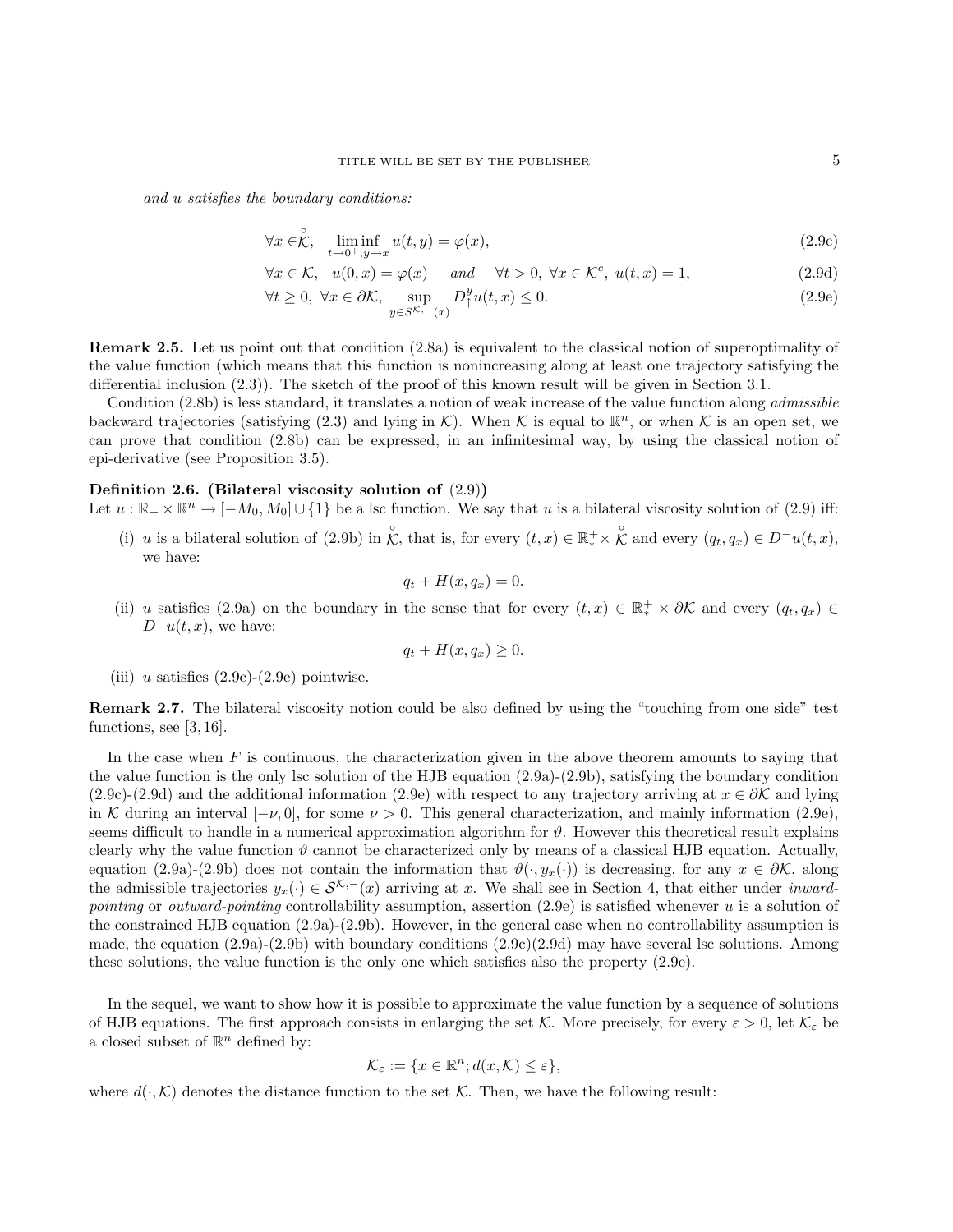and u satisfies the boundary conditions:

$$
\forall x \in \stackrel{\circ}{\mathcal{K}}, \quad \liminf_{t \to 0^+, y \to x} u(t, y) = \varphi(x), \tag{2.9c}
$$

$$
\forall x \in \mathcal{K}, \quad u(0, x) = \varphi(x) \quad \text{and} \quad \forall t > 0, \ \forall x \in \mathcal{K}^c, \ u(t, x) = 1,
$$
\n
$$
(2.9d)
$$

$$
\forall t \ge 0, \ \forall x \in \partial \mathcal{K}, \ \sup_{y \in S^{\mathcal{K}, -}(x)} D^y_\uparrow u(t, x) \le 0. \tag{2.9e}
$$

Remark 2.5. Let us point out that condition (2.8a) is equivalent to the classical notion of superoptimality of the value function (which means that this function is nonincreasing along at least one trajectory satisfying the differential inclusion (2.3)). The sketch of the proof of this known result will be given in Section 3.1.

Condition (2.8b) is less standard, it translates a notion of weak increase of the value function along *admissible* backward trajectories (satisfying (2.3) and lying in K). When K is equal to  $\mathbb{R}^n$ , or when K is an open set, we can prove that condition (2.8b) can be expressed, in an infinitesimal way, by using the classical notion of epi-derivative (see Proposition 3.5).

## Definition 2.6. (Bilateral viscosity solution of  $(2.9)$ )

Let  $u : \mathbb{R}_+ \times \mathbb{R}^n \to [-M_0, M_0] \cup \{1\}$  be a lsc function. We say that u is a bilateral viscosity solution of (2.9) iff:

(i) u is a bilateral solution of (2.9b) in  $\hat{\mathcal{K}}$ , that is, for every  $(t, x) \in \mathbb{R}^+_* \times \hat{\mathcal{K}}$  and every  $(q_t, q_x) \in D^-u(t, x)$ , we have:

$$
q_t + H(x, q_x) = 0.
$$

(ii) u satisfies (2.9a) on the boundary in the sense that for every  $(t, x) \in \mathbb{R}^+_* \times \partial \mathcal{K}$  and every  $(q_t, q_x) \in$  $D^-u(t, x)$ , we have:

$$
q_t + H(x, q_x) \ge 0.
$$

(iii) u satisfies  $(2.9c)-(2.9e)$  pointwise.

Remark 2.7. The bilateral viscosity notion could be also defined by using the "touching from one side" test functions, see [3, 16].

In the case when  $F$  is continuous, the characterization given in the above theorem amounts to saying that the value function is the only lsc solution of the HJB equation (2.9a)-(2.9b), satisfying the boundary condition (2.9c)-(2.9d) and the additional information (2.9e) with respect to any trajectory arriving at  $x \in \partial \mathcal{K}$  and lying in K during an interval  $[-\nu, 0]$ , for some  $\nu > 0$ . This general characterization, and mainly information (2.9e), seems difficult to handle in a numerical approximation algorithm for  $\vartheta$ . However this theoretical result explains clearly why the value function  $\vartheta$  cannot be characterized only by means of a classical HJB equation. Actually, equation (2.9a)-(2.9b) does not contain the information that  $\vartheta(\cdot, y_x(\cdot))$  is decreasing, for any  $x \in \partial \mathcal{K}$ , along the admissible trajectories  $y_x(\cdot) \in \mathcal{S}^{\mathcal{K},-}(x)$  arriving at x. We shall see in Section 4, that either under *inward*pointing or outward-pointing controllability assumption, assertion  $(2.9e)$  is satisfied whenever u is a solution of the constrained HJB equation (2.9a)-(2.9b). However, in the general case when no controllability assumption is made, the equation  $(2.9a)-(2.9b)$  with boundary conditions  $(2.9c)(2.9d)$  may have several lsc solutions. Among these solutions, the value function is the only one which satisfies also the property (2.9e).

In the sequel, we want to show how it is possible to approximate the value function by a sequence of solutions of HJB equations. The first approach consists in enlarging the set K. More precisely, for every  $\varepsilon > 0$ , let  $\mathcal{K}_{\varepsilon}$  be a closed subset of  $\mathbb{R}^n$  defined by:

$$
\mathcal{K}_{\varepsilon} := \{ x \in \mathbb{R}^n; d(x, \mathcal{K}) \le \varepsilon \},
$$

where  $d(\cdot,\mathcal{K})$  denotes the distance function to the set  $\mathcal{K}$ . Then, we have the following result: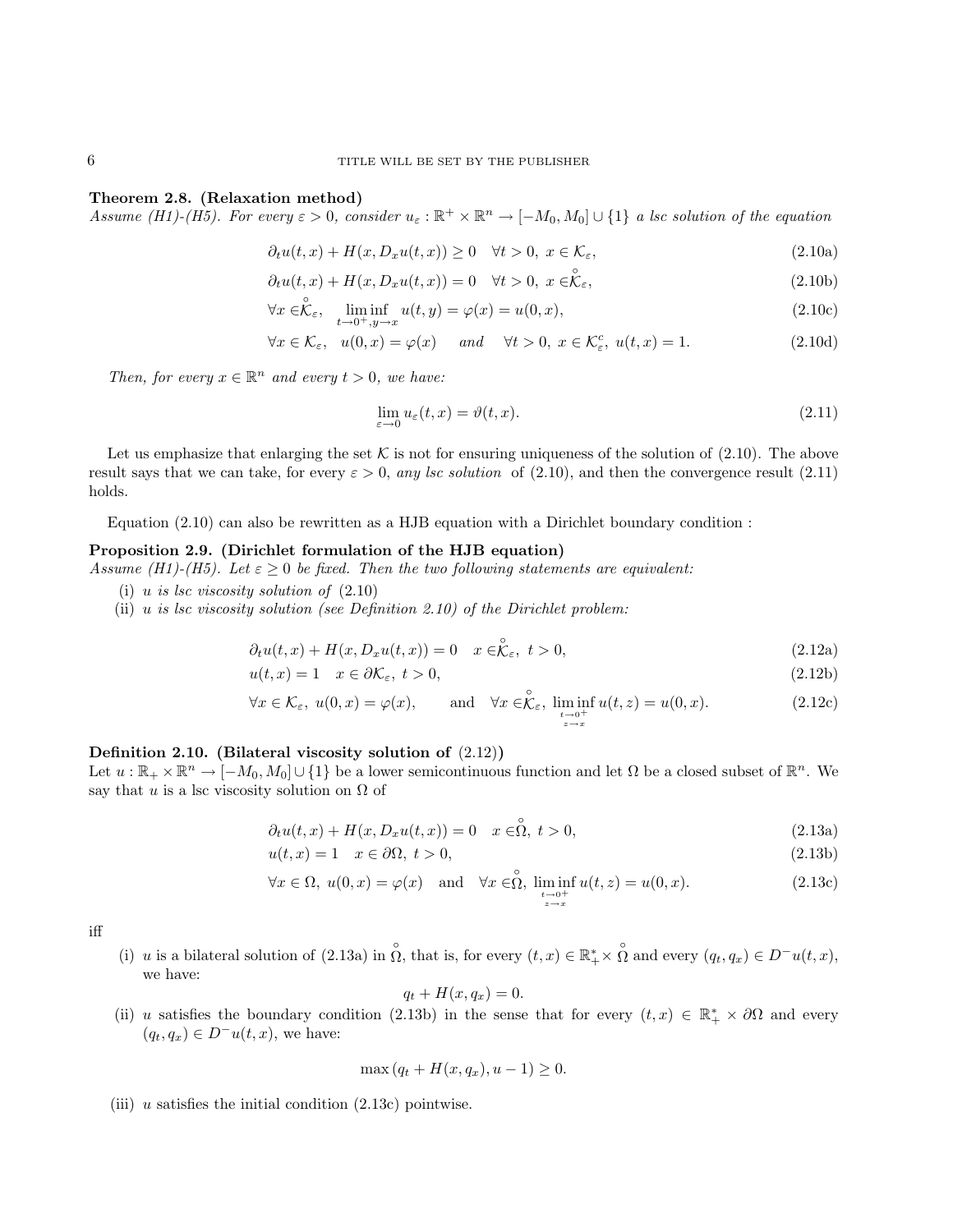#### 6 TITLE WILL BE SET BY THE PUBLISHER

#### Theorem 2.8. (Relaxation method)

Assume (H1)-(H5). For every  $\varepsilon > 0$ , consider  $u_{\varepsilon}: \mathbb{R}^+ \times \mathbb{R}^n \to [-M_0, M_0] \cup \{1\}$  a lsc solution of the equation

$$
\partial_t u(t, x) + H(x, D_x u(t, x)) \ge 0 \quad \forall t > 0, \ x \in \mathcal{K}_{\varepsilon}, \tag{2.10a}
$$

$$
\partial_t u(t, x) + H(x, D_x u(t, x)) = 0 \quad \forall t > 0, \ x \in \stackrel{\circ}{\mathcal{K}}_{\varepsilon}, \tag{2.10b}
$$

$$
\forall x \in \stackrel{\circ}{\mathcal{K}}_{\varepsilon}, \quad \liminf_{t \to 0^+, y \to x} u(t, y) = \varphi(x) = u(0, x), \tag{2.10c}
$$

$$
\forall x \in \mathcal{K}_{\varepsilon}, \quad u(0, x) = \varphi(x) \quad \text{and} \quad \forall t > 0, \ x \in \mathcal{K}_{\varepsilon}^c, \ u(t, x) = 1. \tag{2.10d}
$$

Then, for every  $x \in \mathbb{R}^n$  and every  $t > 0$ , we have:

$$
\lim_{\varepsilon \to 0} u_{\varepsilon}(t, x) = \vartheta(t, x). \tag{2.11}
$$

Let us emphasize that enlarging the set K is not for ensuring uniqueness of the solution of  $(2.10)$ . The above result says that we can take, for every  $\varepsilon > 0$ , any lsc solution of (2.10), and then the convergence result (2.11) holds.

Equation (2.10) can also be rewritten as a HJB equation with a Dirichlet boundary condition :

### Proposition 2.9. (Dirichlet formulation of the HJB equation)

Assume (H1)-(H5). Let  $\varepsilon \geq 0$  be fixed. Then the two following statements are equivalent:

- (i) u is lsc viscosity solution of  $(2.10)$
- (ii)  $u$  is lsc viscosity solution (see Definition 2.10) of the Dirichlet problem:

$$
\partial_t u(t, x) + H(x, D_x u(t, x)) = 0 \quad x \in \stackrel{\circ}{\mathcal{K}}_{\varepsilon}, \ t > 0,
$$
\n(2.12a)

$$
u(t,x) = 1 \quad x \in \partial \mathcal{K}_{\varepsilon}, \ t > 0,\tag{2.12b}
$$

$$
\forall x \in \mathcal{K}_{\varepsilon}, \ u(0, x) = \varphi(x), \qquad \text{and} \quad \forall x \in \stackrel{\circ}{\mathcal{K}_{\varepsilon}}, \ \liminf_{\substack{t \to 0^+ \\ z \to x}} u(t, z) = u(0, x). \tag{2.12c}
$$

## Definition 2.10. (Bilateral viscosity solution of (2.12))

Let  $u:\mathbb{R}_+\times\mathbb{R}^n\to[-M_0,M_0]\cup\{1\}$  be a lower semicontinuous function and let  $\Omega$  be a closed subset of  $\mathbb{R}^n$ . We say that u is a lsc viscosity solution on  $\Omega$  of

$$
\partial_t u(t, x) + H(x, D_x u(t, x)) = 0 \quad x \in \stackrel{\circ}{\Omega}, \ t > 0,
$$
\n(2.13a)

$$
u(t,x) = 1 \quad x \in \partial\Omega, \ t > 0,\tag{2.13b}
$$

$$
\forall x \in \Omega, \ u(0, x) = \varphi(x) \quad \text{and} \quad \forall x \in \stackrel{\circ}{\Omega}, \ \liminf_{\substack{t \to 0^+ \\ z \to x}} u(t, z) = u(0, x). \tag{2.13c}
$$

iff

(i) u is a bilateral solution of (2.13a) in  $\hat{\Omega}$ , that is, for every  $(t, x) \in \mathbb{R}_+^* \times \hat{\Omega}$  and every  $(q_t, q_x) \in D^-u(t, x)$ , we have:

$$
q_t + H(x, q_x) = 0.
$$

(ii) u satisfies the boundary condition (2.13b) in the sense that for every  $(t, x) \in \mathbb{R}_+^* \times \partial\Omega$  and every  $(q_t, q_x) \in D^-u(t, x)$ , we have:

$$
\max (q_t + H(x, q_x), u - 1) \ge 0.
$$

(iii)  $u$  satisfies the initial condition  $(2.13c)$  pointwise.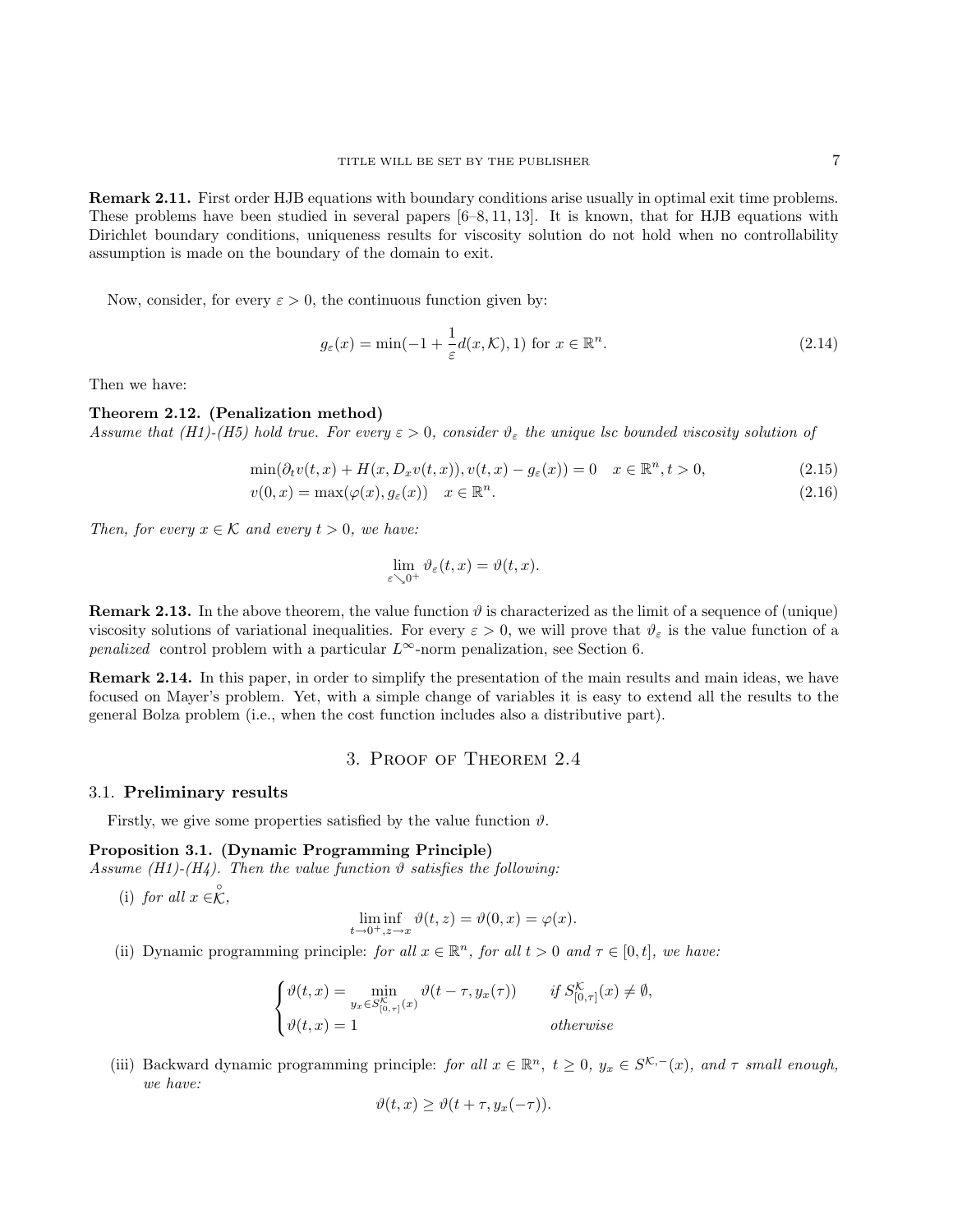Remark 2.11. First order HJB equations with boundary conditions arise usually in optimal exit time problems. These problems have been studied in several papers [6–8, 11, 13]. It is known, that for HJB equations with Dirichlet boundary conditions, uniqueness results for viscosity solution do not hold when no controllability assumption is made on the boundary of the domain to exit.

Now, consider, for every  $\varepsilon > 0$ , the continuous function given by:

$$
g_{\varepsilon}(x) = \min(-1 + \frac{1}{\varepsilon}d(x,\mathcal{K}), 1) \text{ for } x \in \mathbb{R}^n. \tag{2.14}
$$

Then we have:

#### Theorem 2.12. (Penalization method)

Assume that (H1)-(H5) hold true. For every  $\varepsilon > 0$ , consider  $\vartheta_{\varepsilon}$  the unique lsc bounded viscosity solution of

$$
\min(\partial_t v(t,x) + H(x, D_x v(t,x)), v(t,x) - g_\varepsilon(x)) = 0 \quad x \in \mathbb{R}^n, t > 0,
$$
\n(2.15)

$$
v(0,x) = \max(\varphi(x), g_{\varepsilon}(x)) \quad x \in \mathbb{R}^n. \tag{2.16}
$$

Then, for every  $x \in \mathcal{K}$  and every  $t > 0$ , we have:

$$
\lim_{\varepsilon \searrow 0^+} \vartheta_\varepsilon(t,x) = \vartheta(t,x).
$$

**Remark 2.13.** In the above theorem, the value function  $\vartheta$  is characterized as the limit of a sequence of (unique) viscosity solutions of variational inequalities. For every  $\varepsilon > 0$ , we will prove that  $\vartheta_{\varepsilon}$  is the value function of a penalized control problem with a particular  $L^{\infty}$ -norm penalization, see Section 6.

Remark 2.14. In this paper, in order to simplify the presentation of the main results and main ideas, we have focused on Mayer's problem. Yet, with a simple change of variables it is easy to extend all the results to the general Bolza problem (i.e., when the cost function includes also a distributive part).

## 3. Proof of Theorem 2.4

#### 3.1. Preliminary results

Firstly, we give some properties satisfied by the value function  $\vartheta$ .

### Proposition 3.1. (Dynamic Programming Principle)

Assume (H1)-(H4). Then the value function  $\vartheta$  satisfies the following:

(i) for all  $x \in \stackrel{\circ}{\mathcal{K}}$ ,

$$
\liminf_{t \to 0^+, z \to x} \vartheta(t, z) = \vartheta(0, x) = \varphi(x).
$$

(ii) Dynamic programming principle: for all  $x \in \mathbb{R}^n$ , for all  $t > 0$  and  $\tau \in [0, t]$ , we have:

$$
\begin{cases} \vartheta(t,x) = \min_{y_x \in S_{[0,\tau]}^{\mathcal{K}}} \vartheta(t-\tau, y_x(\tau)) & \text{if } S_{[0,\tau]}^{\mathcal{K}}(x) \neq \emptyset, \\ \vartheta(t,x) = 1 & \text{otherwise} \end{cases}
$$

(iii) Backward dynamic programming principle: for all  $x \in \mathbb{R}^n$ ,  $t \geq 0$ ,  $y_x \in S^{\mathcal{K},-}(x)$ , and  $\tau$  small enough, we have:

$$
\vartheta(t,x) \ge \vartheta(t+\tau, y_x(-\tau)).
$$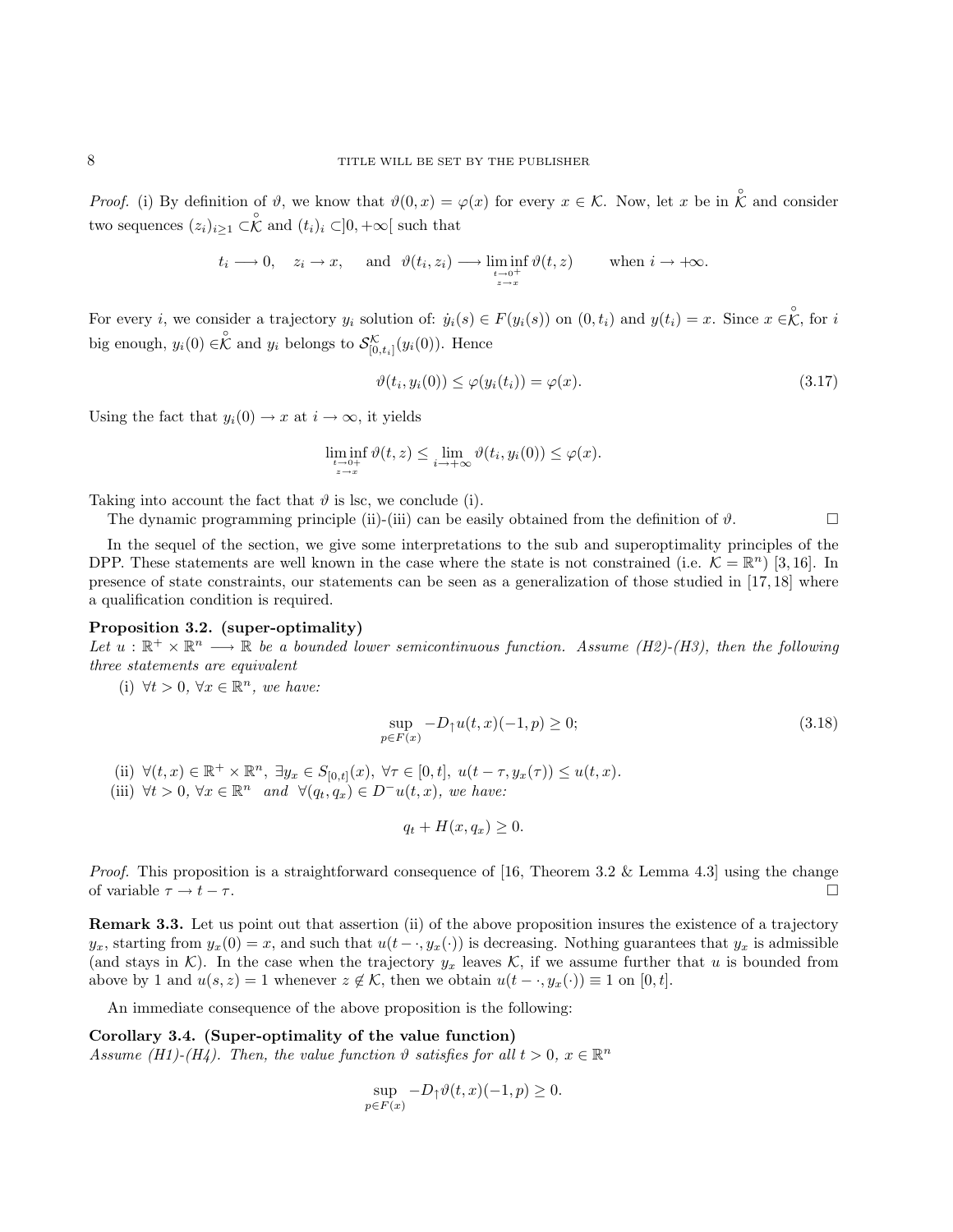*Proof.* (i) By definition of  $\vartheta$ , we know that  $\vartheta(0, x) = \varphi(x)$  for every  $x \in \mathcal{K}$ . Now, let x be in  $\hat{\mathcal{K}}$  and consider two sequences  $(z_i)_{i\geq 1} \subset \stackrel{\circ}{\mathcal{K}}$  and  $(t_i)_i \subset ]0, +\infty[$  such that

$$
t_i \longrightarrow 0
$$
,  $z_i \longrightarrow x$ , and  $\vartheta(t_i, z_i) \longrightarrow \liminf_{\substack{t \longrightarrow 0^+ \\ z \to x}} \vartheta(t, z)$  when  $i \longrightarrow +\infty$ .

For every *i*, we consider a trajectory  $y_i$  solution of:  $\dot{y}_i(s) \in F(y_i(s))$  on  $(0, t_i)$  and  $y(t_i) = x$ . Since  $x \in \mathcal{K}$ , for *i* big enough,  $y_i(0) \in \stackrel{\circ}{\mathcal{K}}$  and  $y_i$  belongs to  $\mathcal{S}_{[0,t_i]}^{\mathcal{K}}(y_i(0))$ . Hence

$$
\vartheta(t_i, y_i(0)) \le \varphi(y_i(t_i)) = \varphi(x). \tag{3.17}
$$

Using the fact that  $y_i(0) \to x$  at  $i \to \infty$ , it yields

$$
\liminf_{\substack{t \to 0+ \\ z \to x}} \vartheta(t, z) \le \lim_{i \to +\infty} \vartheta(t_i, y_i(0)) \le \varphi(x).
$$

Taking into account the fact that  $\vartheta$  is lsc, we conclude (i).

The dynamic programming principle (ii)-(iii) can be easily obtained from the definition of  $\vartheta$ .

In the sequel of the section, we give some interpretations to the sub and superoptimality principles of the DPP. These statements are well known in the case where the state is not constrained (i.e.  $\mathcal{K} = \mathbb{R}^n$ ) [3,16]. In presence of state constraints, our statements can be seen as a generalization of those studied in [17, 18] where a qualification condition is required.

#### Proposition 3.2. (super-optimality)

Let  $u : \mathbb{R}^+ \times \mathbb{R}^n \longrightarrow \mathbb{R}$  be a bounded lower semicontinuous function. Assume (H2)-(H3), then the following three statements are equivalent

(i)  $\forall t > 0, \forall x \in \mathbb{R}^n$ , we have:

$$
\sup_{p \in F(x)} -D_{\uparrow}u(t, x)(-1, p) \ge 0; \tag{3.18}
$$

- (ii)  $\forall (t, x) \in \mathbb{R}^+ \times \mathbb{R}^n$ ,  $\exists y_x \in S_{[0,t]}(x)$ ,  $\forall \tau \in [0, t]$ ,  $u(t \tau, y_x(\tau)) \leq u(t, x)$ .
- (iii)  $\forall t > 0, \forall x \in \mathbb{R}^n$  and  $\forall (q_t, q_x) \in D^{-}u(t, x)$ , we have:

$$
q_t + H(x, q_x) \ge 0.
$$

*Proof.* This proposition is a straightforward consequence of [16, Theorem 3.2 & Lemma 4.3] using the change of variable  $\tau \to t - \tau$ .

Remark 3.3. Let us point out that assertion (ii) of the above proposition insures the existence of a trajectory  $y_x$ , starting from  $y_x(0) = x$ , and such that  $u(t - \cdot, y_x(\cdot))$  is decreasing. Nothing guarantees that  $y_x$  is admissible (and stays in K). In the case when the trajectory  $y_x$  leaves K, if we assume further that u is bounded from above by 1 and  $u(s, z) = 1$  whenever  $z \notin \mathcal{K}$ , then we obtain  $u(t - \cdot, y_x(\cdot)) \equiv 1$  on  $[0, t]$ .

An immediate consequence of the above proposition is the following:

Corollary 3.4. (Super-optimality of the value function) Assume (H1)-(H4). Then, the value function  $\vartheta$  satisfies for all  $t > 0$ ,  $x \in \mathbb{R}^n$ 

$$
\sup_{p \in F(x)} -D_{\uparrow} \vartheta(t, x)(-1, p) \ge 0.
$$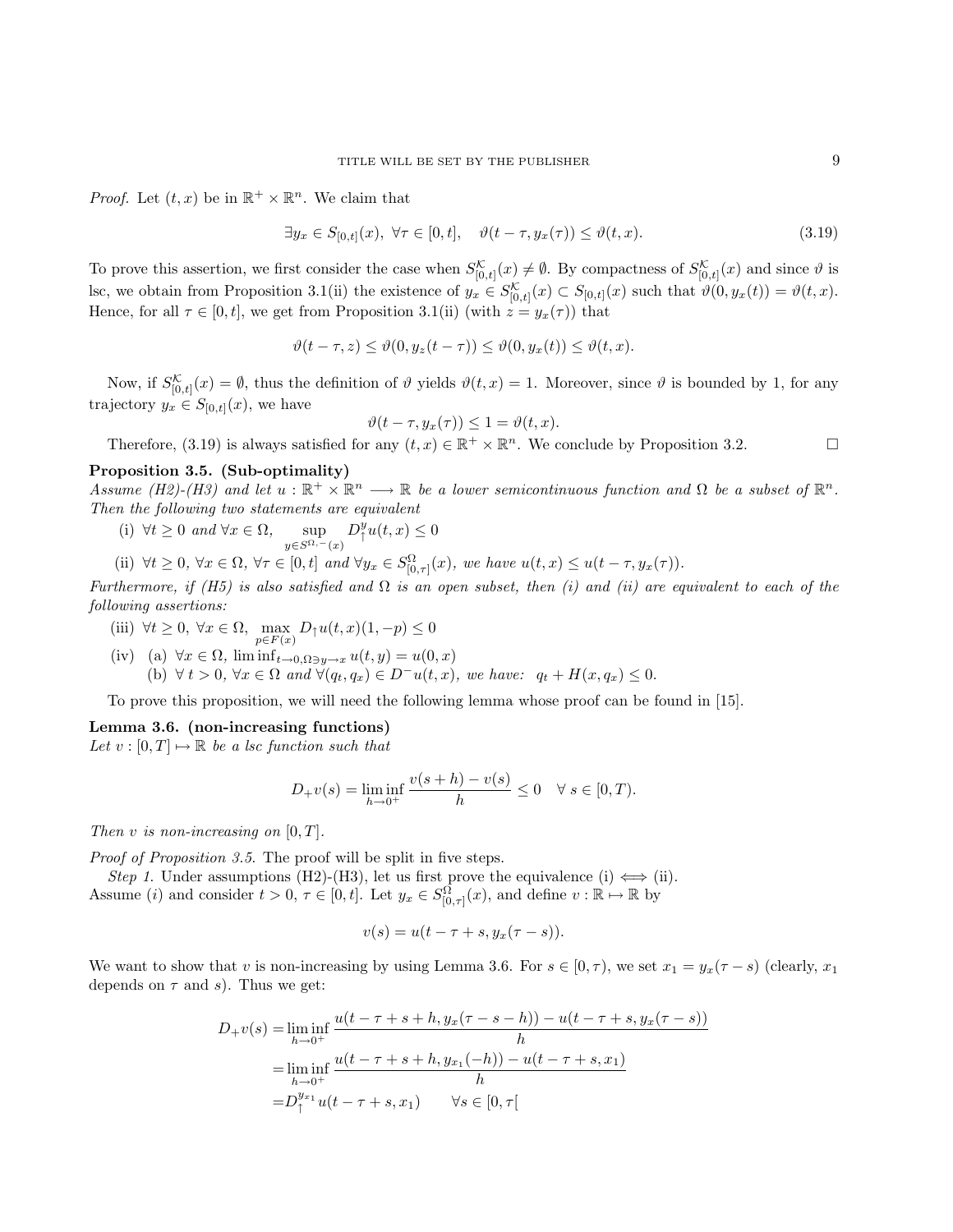*Proof.* Let  $(t, x)$  be in  $\mathbb{R}^+ \times \mathbb{R}^n$ . We claim that

 $\exists y_x \in S_{[0,t]}(x), \forall \tau \in [0,t], \quad \vartheta(t-\tau, y_x(\tau)) \leq \vartheta(t,x).$  (3.19)

To prove this assertion, we first consider the case when  $S_{[0,t]}^{\mathcal{K}}(x) \neq \emptyset$ . By compactness of  $S_{[0,t]}^{\mathcal{K}}(x)$  and since  $\emptyset$  is lsc, we obtain from Proposition 3.1(ii) the existence of  $y_x \in S^{\mathcal{K}}_{[0,t]}(x) \subset S_{[0,t]}(x)$  such that  $\vartheta(0, y_x(t)) = \vartheta(t, x)$ . Hence, for all  $\tau \in [0, t]$ , we get from Proposition 3.1(ii) (with  $z = y_x(\tau)$ ) that

$$
\vartheta(t-\tau,z) \leq \vartheta(0,y_z(t-\tau)) \leq \vartheta(0,y_x(t)) \leq \vartheta(t,x).
$$

Now, if  $S_{[0,t]}^{\mathcal{K}}(x) = \emptyset$ , thus the definition of  $\vartheta$  yields  $\vartheta(t,x) = 1$ . Moreover, since  $\vartheta$  is bounded by 1, for any trajectory  $y_x \in S_{[0,t]}(x)$ , we have

$$
\vartheta(t-\tau, y_x(\tau)) \le 1 = \vartheta(t, x).
$$

Therefore, (3.19) is always satisfied for any  $(t, x) \in \mathbb{R}^+ \times \mathbb{R}^n$ . We conclude by Proposition 3.2.

#### Proposition 3.5. (Sub-optimality)

Assume (H2)-(H3) and let  $u : \mathbb{R}^+ \times \mathbb{R}^n \longrightarrow \mathbb{R}$  be a lower semicontinuous function and  $\Omega$  be a subset of  $\mathbb{R}^n$ . Then the following two statements are equivalent

(i)  $\forall t \geq 0$  and  $\forall x \in \Omega$ , sup  $y\in S^{\Omega,-}(x)$  $D^y_\uparrow u(t,x) \leq 0$ 

(ii)  $\forall t \geq 0, \forall x \in \Omega, \forall \tau \in [0, t] \text{ and } \forall y_x \in S_{[0, \tau]}^{\Omega}(x), \text{ we have } u(t, x) \leq u(t - \tau, y_x(\tau)).$ 

Furthermore, if (H5) is also satisfied and  $\Omega$  is an open subset, then (i) and (ii) are equivalent to each of the following assertions:

- (iii)  $\forall t \geq 0, \ \forall x \in \Omega, \ \max_{p \in F(x)} D_{\uparrow}u(t,x)(1,-p) \leq 0$
- (iv) (a)  $\forall x \in \Omega$ ,  $\liminf_{t \to 0, \Omega \ni y \to x} u(t, y) = u(0, x)$ (b)  $\forall t > 0, \forall x \in \Omega \text{ and } \forall (q_t, q_x) \in D^{-}u(t, x), \text{ we have: } q_t + H(x, q_x) \leq 0.$

To prove this proposition, we will need the following lemma whose proof can be found in [15].

## Lemma 3.6. (non-increasing functions)

Let  $v : [0, T] \mapsto \mathbb{R}$  be a lsc function such that

$$
D_{+}v(s) = \liminf_{h \to 0^{+}} \frac{v(s+h) - v(s)}{h} \le 0 \quad \forall s \in [0, T).
$$

Then v is non-increasing on  $[0, T]$ .

Proof of Proposition 3.5. The proof will be split in five steps.

Step 1. Under assumptions (H2)-(H3), let us first prove the equivalence (i)  $\Longleftrightarrow$  (ii). Assume (*i*) and consider  $t > 0$ ,  $\tau \in [0, t]$ . Let  $y_x \in S^{\Omega}_{[0, \tau]}(x)$ , and define  $v : \mathbb{R} \to \mathbb{R}$  by

$$
v(s) = u(t - \tau + s, y_x(\tau - s)).
$$

We want to show that v is non-increasing by using Lemma 3.6. For  $s \in [0, \tau)$ , we set  $x_1 = y_x(\tau - s)$  (clearly,  $x_1$ ) depends on  $\tau$  and s). Thus we get:

$$
D_{+}v(s) = \liminf_{h \to 0^{+}} \frac{u(t-\tau+s+h, y_x(\tau-s-h)) - u(t-\tau+s, y_x(\tau-s))}{h}
$$
  
= 
$$
\liminf_{h \to 0^{+}} \frac{u(t-\tau+s+h, y_{x_1}(-h)) - u(t-\tau+s, x_1)}{h}
$$
  
= 
$$
D_{1}^{y_{x_1}}u(t-\tau+s, x_1) \qquad \forall s \in [0, \tau[
$$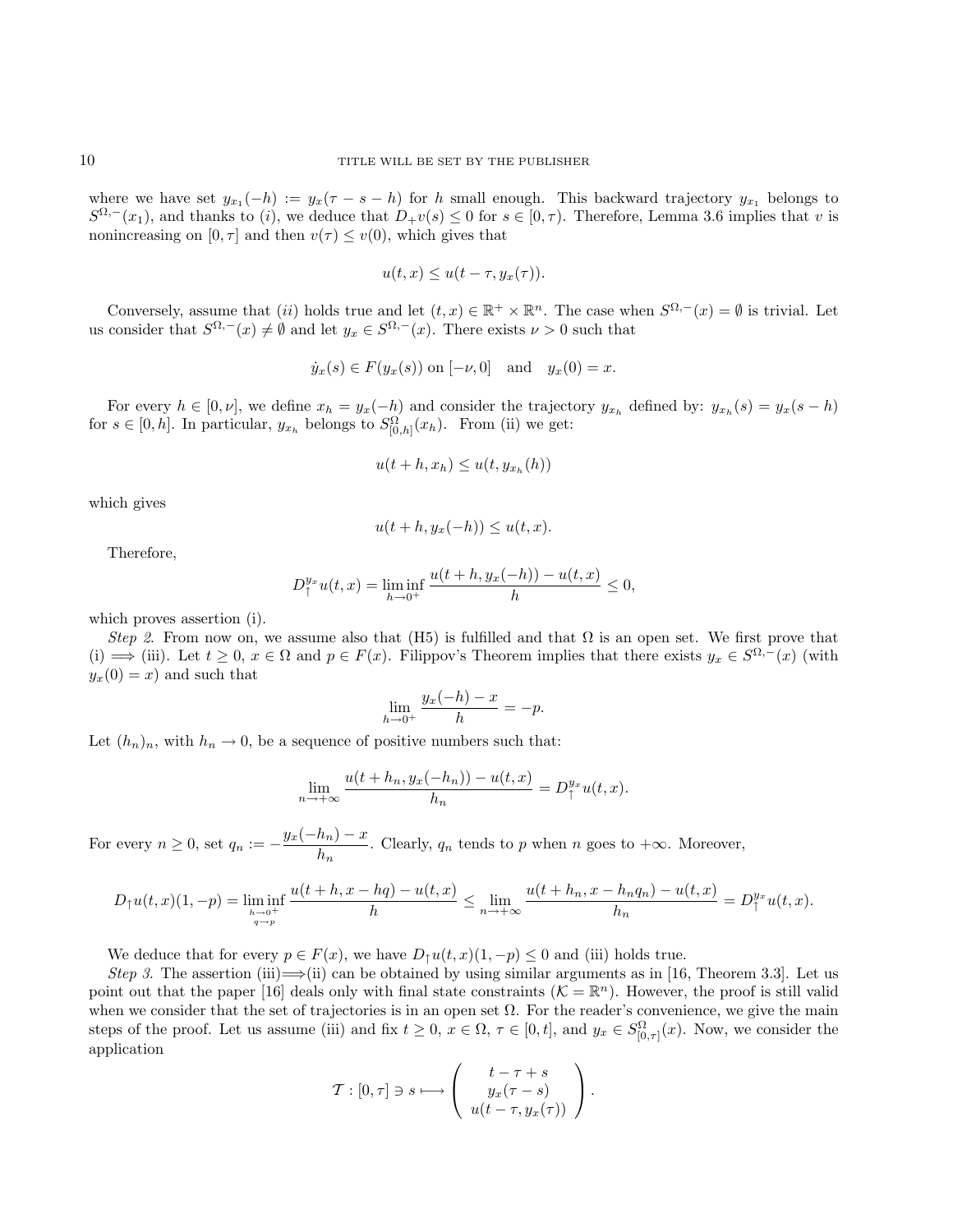where we have set  $y_{x_1}(-h) := y_x(\tau - s - h)$  for h small enough. This backward trajectory  $y_{x_1}$  belongs to  $S^{\Omega,-}(x_1)$ , and thanks to (i), we deduce that  $D_+v(s) \leq 0$  for  $s \in [0,\tau)$ . Therefore, Lemma 3.6 implies that v is nonincreasing on  $[0, \tau]$  and then  $v(\tau) \leq v(0)$ , which gives that

$$
u(t, x) \le u(t - \tau, y_x(\tau)).
$$

Conversely, assume that (ii) holds true and let  $(t, x) \in \mathbb{R}^+ \times \mathbb{R}^n$ . The case when  $S^{\Omega, -}(x) = \emptyset$  is trivial. Let us consider that  $S^{\Omega,-}(x) \neq \emptyset$  and let  $y_x \in S^{\Omega,-}(x)$ . There exists  $\nu > 0$  such that

$$
\dot{y}_x(s) \in F(y_x(s))
$$
 on  $[-\nu, 0]$  and  $y_x(0) = x$ .

For every  $h \in [0, \nu]$ , we define  $x_h = y_x(-h)$  and consider the trajectory  $y_{x_h}$  defined by:  $y_{x_h}(s) = y_x(s-h)$ for  $s \in [0, h]$ . In particular,  $y_{x_h}$  belongs to  $S^{\Omega}_{[0, h]}(x_h)$ . From (ii) we get:

$$
u(t+h, x_h) \le u(t, y_{x_h}(h))
$$

which gives

$$
u(t+h, y_x(-h)) \le u(t, x).
$$

Therefore,

$$
D_{\uparrow}^{y_x} u(t, x) = \liminf_{h \to 0^+} \frac{u(t + h, y_x(-h)) - u(t, x)}{h} \le 0,
$$

which proves assertion (i).

Step 2. From now on, we assume also that (H5) is fulfilled and that  $\Omega$  is an open set. We first prove that (i)  $\implies$  (iii). Let  $t \geq 0$ ,  $x \in \Omega$  and  $p \in F(x)$ . Filippov's Theorem implies that there exists  $y_x \in S^{\Omega,-}(x)$  (with  $y_x(0) = x$  and such that

$$
\lim_{h \to 0^+} \frac{y_x(-h) - x}{h} = -p.
$$

Let  $(h_n)_n$ , with  $h_n \to 0$ , be a sequence of positive numbers such that:

$$
\lim_{n \to +\infty} \frac{u(t+h_n, y_x(-h_n)) - u(t, x)}{h_n} = D_{\uparrow}^{y_x} u(t, x).
$$

For every  $n \geq 0$ , set  $q_n := -\frac{y_x(-h_n) - x}{h}$  $\frac{dn_1}{h_n}$ . Clearly,  $q_n$  tends to p when n goes to  $+\infty$ . Moreover,

$$
D_{\uparrow}u(t,x)(1,-p)=\liminf_{h\to 0^+ \atop q\to p}\frac{u(t+h,x-hq)-u(t,x)}{h}\leq \lim_{n\to +\infty} \frac{u(t+h_n,x-h_nq_n)-u(t,x)}{h_n}=D_{\uparrow}^{y_x}u(t,x).
$$

We deduce that for every  $p \in F(x)$ , we have  $D_1u(t,x)(1,-p) \leq 0$  and (iii) holds true.

Step 3. The assertion (iii)  $\implies$  (ii) can be obtained by using similar arguments as in [16, Theorem 3.3]. Let us point out that the paper [16] deals only with final state constraints  $(K = \mathbb{R}^n)$ . However, the proof is still valid when we consider that the set of trajectories is in an open set  $\Omega$ . For the reader's convenience, we give the main steps of the proof. Let us assume (iii) and fix  $t \geq 0$ ,  $x \in \Omega$ ,  $\tau \in [0, t]$ , and  $y_x \in S^{\Omega}_{[0, \tau]}(x)$ . Now, we consider the application

$$
\mathcal{T}:[0,\tau]\ni s\longmapsto \left(\begin{array}{c}t-\tau+s\\y_x(\tau-s)\\u(t-\tau,y_x(\tau))\end{array}\right).
$$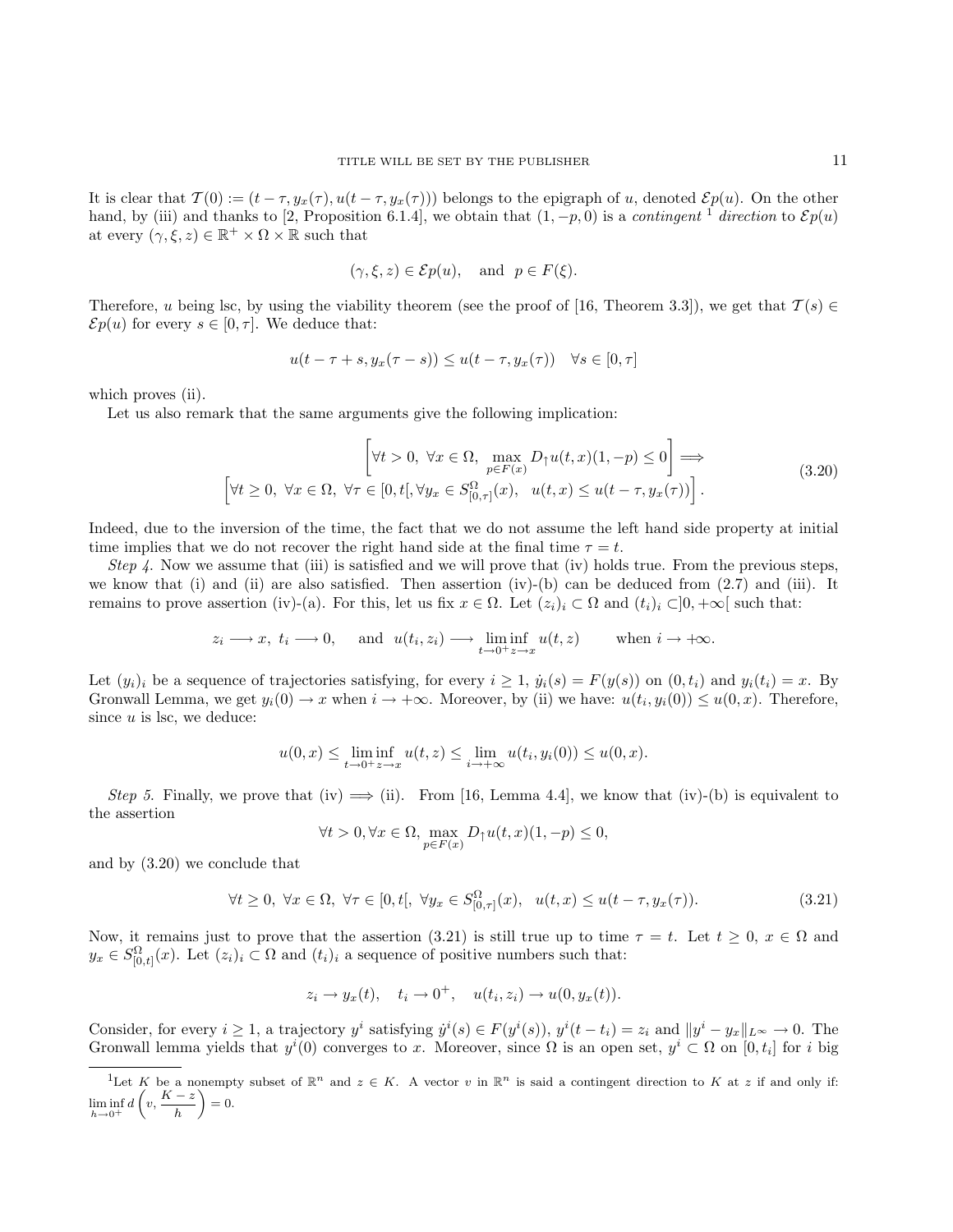It is clear that  $\mathcal{T}(0) := (t - \tau, y_x(\tau), u(t - \tau, y_x(\tau)))$  belongs to the epigraph of u, denoted  $\mathcal{E}p(u)$ . On the other hand, by (iii) and thanks to [2, Proposition 6.1.4], we obtain that  $(1, -p, 0)$  is a *contingent* <sup>1</sup> direction to  $\mathcal{E}p(u)$ at every  $(\gamma, \xi, z) \in \mathbb{R}^+ \times \Omega \times \mathbb{R}$  such that

$$
(\gamma, \xi, z) \in \mathcal{E}p(u)
$$
, and  $p \in F(\xi)$ .

Therefore, u being lsc, by using the viability theorem (see the proof of [16, Theorem 3.3]), we get that  $\mathcal{T}(s) \in$  $\mathcal{E}p(u)$  for every  $s \in [0, \tau]$ . We deduce that:

$$
u(t-\tau+s, y_x(\tau-s)) \le u(t-\tau, y_x(\tau)) \quad \forall s \in [0, \tau]
$$

which proves (ii).

Let us also remark that the same arguments give the following implication:

$$
\left[\forall t > 0, \ \forall x \in \Omega, \max_{p \in F(x)} D_{\uparrow}u(t, x)(1, -p) \le 0\right] \Longrightarrow
$$
\n
$$
\left[\forall t \ge 0, \ \forall x \in \Omega, \ \forall \tau \in [0, t[, \forall y_x \in S^{\Omega}_{[0, \tau]}(x), \ u(t, x) \le u(t - \tau, y_x(\tau))\right].
$$
\n(3.20)

Indeed, due to the inversion of the time, the fact that we do not assume the left hand side property at initial time implies that we do not recover the right hand side at the final time  $\tau = t$ .

Step 4. Now we assume that (iii) is satisfied and we will prove that (iv) holds true. From the previous steps, we know that (i) and (ii) are also satisfied. Then assertion (iv)-(b) can be deduced from (2.7) and (iii). It remains to prove assertion (iv)-(a). For this, let us fix  $x \in \Omega$ . Let  $(z_i)_i \subset \Omega$  and  $(t_i)_i \subset ]0, +\infty[$  such that:

$$
z_i \longrightarrow x, t_i \longrightarrow 0,
$$
 and  $u(t_i, z_i) \longrightarrow \liminf_{t \to 0^+} u(t, z)$  when  $i \to +\infty$ .

Let  $(y_i)_i$  be a sequence of trajectories satisfying, for every  $i \geq 1$ ,  $\dot{y}_i(s) = F(y(s))$  on  $(0, t_i)$  and  $y_i(t_i) = x$ . By Gronwall Lemma, we get  $y_i(0) \to x$  when  $i \to +\infty$ . Moreover, by (ii) we have:  $u(t_i, y_i(0)) \le u(0, x)$ . Therefore, since  $u$  is lsc, we deduce:

$$
u(0, x) \le \liminf_{t \to 0^+} u(t, z) \le \lim_{i \to +\infty} u(t_i, y_i(0)) \le u(0, x).
$$

Step 5. Finally, we prove that (iv)  $\implies$  (ii). From [16, Lemma 4.4], we know that (iv)-(b) is equivalent to the assertion

$$
\forall t > 0, \forall x \in \Omega, \max_{p \in F(x)} D_{\uparrow}u(t, x)(1, -p) \le 0,
$$

and by (3.20) we conclude that

$$
\forall t \ge 0, \ \forall x \in \Omega, \ \forall \tau \in [0, t[, \ \forall y_x \in S^{\Omega}_{[0, \tau]}(x), \ \ u(t, x) \le u(t - \tau, y_x(\tau)). \tag{3.21}
$$

Now, it remains just to prove that the assertion (3.21) is still true up to time  $\tau = t$ . Let  $t \geq 0$ ,  $x \in \Omega$  and  $y_x \in S^{\Omega}_{[0,t]}(x)$ . Let  $(z_i)_i \subset \Omega$  and  $(t_i)_i$  a sequence of positive numbers such that:

$$
z_i \to y_x(t), \quad t_i \to 0^+, \quad u(t_i, z_i) \to u(0, y_x(t)).
$$

Consider, for every  $i \geq 1$ , a trajectory  $y^i$  satisfying  $\dot{y}^i(s) \in F(y^i(s)),$   $y^i(t-t_i) = z_i$  and  $||y^i - y_x||_{L^\infty} \to 0$ . The Gronwall lemma yields that  $y^i(0)$  converges to x. Moreover, since  $\Omega$  is an open set,  $y^i \subset \Omega$  on  $[0, t_i]$  for i big

<sup>&</sup>lt;sup>1</sup>Let K be a nonempty subset of  $\mathbb{R}^n$  and  $z \in K$ . A vector v in  $\mathbb{R}^n$  is said a contingent direction to K at z if and only if:  $\liminf_{h\to 0^+} d\left(v, \frac{K-z}{h}\right)$ h  $= 0$ .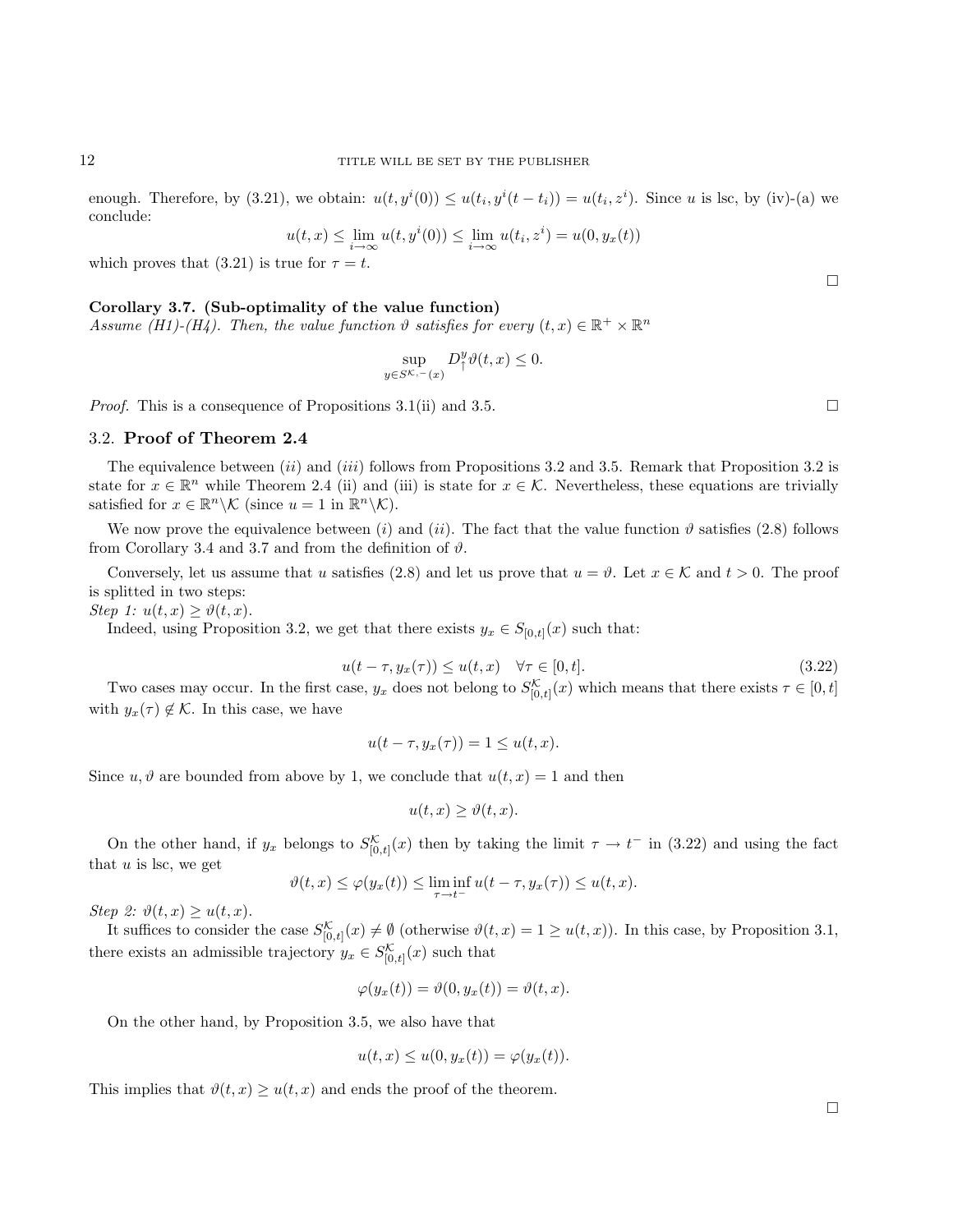enough. Therefore, by (3.21), we obtain:  $u(t, y^i(0)) \leq u(t_i, y^i(t - t_i)) = u(t_i, z^i)$ . Since u is lsc, by (iv)-(a) we conclude:

$$
u(t,x) \le \lim_{i \to \infty} u(t,y^i(0)) \le \lim_{i \to \infty} u(t_i,z^i) = u(0,y_x(t))
$$

which proves that (3.21) is true for  $\tau = t$ .

#### Corollary 3.7. (Sub-optimality of the value function)

Assume (H1)-(H4). Then, the value function  $\vartheta$  satisfies for every  $(t, x) \in \mathbb{R}^+ \times \mathbb{R}^n$ 

$$
\sup_{y \in S^{\mathcal{K}, -}(x)} D_{\uparrow}^{y} \vartheta(t, x) \leq 0.
$$

*Proof.* This is a consequence of Propositions 3.1(ii) and 3.5.

#### 3.2. Proof of Theorem 2.4

The equivalence between (ii) and (iii) follows from Propositions 3.2 and 3.5. Remark that Proposition 3.2 is state for  $x \in \mathbb{R}^n$  while Theorem 2.4 (ii) and (iii) is state for  $x \in \mathcal{K}$ . Nevertheless, these equations are trivially satisfied for  $x \in \mathbb{R}^n \backslash \mathcal{K}$  (since  $u = 1$  in  $\mathbb{R}^n \backslash \mathcal{K}$ ).

We now prove the equivalence between (i) and (ii). The fact that the value function  $\vartheta$  satisfies (2.8) follows from Corollary 3.4 and 3.7 and from the definition of  $\vartheta$ .

Conversely, let us assume that u satisfies (2.8) and let us prove that  $u = \vartheta$ . Let  $x \in \mathcal{K}$  and  $t > 0$ . The proof is splitted in two steps:

Step 1:  $u(t, x) \geq \vartheta(t, x)$ .

Indeed, using Proposition 3.2, we get that there exists  $y_x \in S_{[0,t]}(x)$  such that:

$$
u(t - \tau, y_x(\tau)) \le u(t, x) \quad \forall \tau \in [0, t]. \tag{3.22}
$$

Two cases may occur. In the first case,  $y_x$  does not belong to  $S_{[0,t]}^{\mathcal{K}}(x)$  which means that there exists  $\tau \in [0,t]$ with  $y_x(\tau) \notin \mathcal{K}$ . In this case, we have

$$
u(t - \tau, y_x(\tau)) = 1 \le u(t, x).
$$

Since  $u, \vartheta$  are bounded from above by 1, we conclude that  $u(t, x) = 1$  and then

$$
u(t, x) \ge \vartheta(t, x).
$$

On the other hand, if  $y_x$  belongs to  $S_{[0,t]}^{\mathcal{K}}(x)$  then by taking the limit  $\tau \to t^-$  in (3.22) and using the fact that  $u$  is lsc, we get

$$
\vartheta(t,x) \leq \varphi(y_x(t)) \leq \liminf_{\tau \to t^-} u(t-\tau, y_x(\tau)) \leq u(t,x).
$$

Step 2:  $\vartheta(t,x) \geq u(t,x)$ .

It suffices to consider the case  $S_{[0,t]}^{\mathcal{K}}(x) \neq \emptyset$  (otherwise  $\vartheta(t,x) = 1 \geq u(t,x)$ ). In this case, by Proposition 3.1, there exists an admissible trajectory  $y_x \in S^{\mathcal{K}}_{[0,t]}(x)$  such that

$$
\varphi(y_x(t)) = \vartheta(0, y_x(t)) = \vartheta(t, x).
$$

On the other hand, by Proposition 3.5, we also have that

$$
u(t,x) \le u(0, y_x(t)) = \varphi(y_x(t)).
$$

This implies that  $\vartheta(t, x) \geq u(t, x)$  and ends the proof of the theorem.

 $\Box$ 

 $\Box$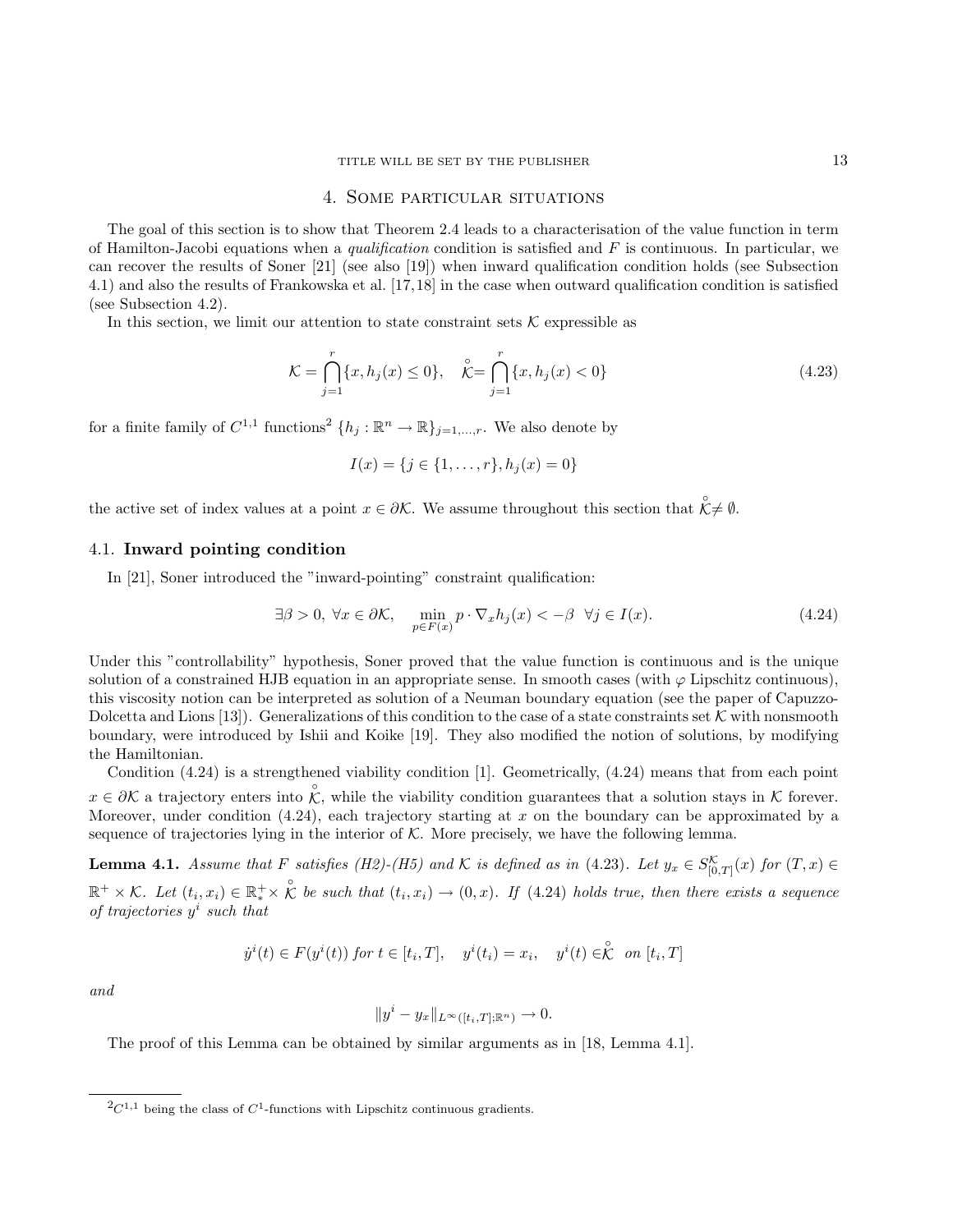## 4. Some particular situations

The goal of this section is to show that Theorem 2.4 leads to a characterisation of the value function in term of Hamilton-Jacobi equations when a *qualification* condition is satisfied and  $F$  is continuous. In particular, we can recover the results of Soner [21] (see also [19]) when inward qualification condition holds (see Subsection 4.1) and also the results of Frankowska et al. [17,18] in the case when outward qualification condition is satisfied (see Subsection 4.2).

In this section, we limit our attention to state constraint sets  $K$  expressible as

$$
\mathcal{K} = \bigcap_{j=1}^{r} \{x, h_j(x) \le 0\}, \quad \stackrel{\circ}{\mathcal{K}} = \bigcap_{j=1}^{r} \{x, h_j(x) < 0\} \tag{4.23}
$$

for a finite family of  $C^{1,1}$  functions<sup>2</sup>  $\{h_j : \mathbb{R}^n \to \mathbb{R}\}_{j=1,\dots,r}$ . We also denote by

$$
I(x) = \{j \in \{1, \ldots, r\}, h_j(x) = 0\}
$$

the active set of index values at a point  $x \in \partial \mathcal{K}$ . We assume throughout this section that  $\hat{\mathcal{K}} \neq \emptyset$ .

#### 4.1. Inward pointing condition

In [21], Soner introduced the "inward-pointing" constraint qualification:

$$
\exists \beta > 0, \ \forall x \in \partial \mathcal{K}, \quad \min_{p \in F(x)} p \cdot \nabla_x h_j(x) < -\beta \ \ \forall j \in I(x). \tag{4.24}
$$

Under this "controllability" hypothesis, Soner proved that the value function is continuous and is the unique solution of a constrained HJB equation in an appropriate sense. In smooth cases (with  $\varphi$  Lipschitz continuous), this viscosity notion can be interpreted as solution of a Neuman boundary equation (see the paper of Capuzzo-Dolcetta and Lions [13]). Generalizations of this condition to the case of a state constraints set K with nonsmooth boundary, were introduced by Ishii and Koike [19]. They also modified the notion of solutions, by modifying the Hamiltonian.

Condition (4.24) is a strengthened viability condition [1]. Geometrically, (4.24) means that from each point  $x \in \partial K$  a trajectory enters into  $\hat{\mathcal{K}}$ , while the viability condition guarantees that a solution stays in K forever. Moreover, under condition  $(4.24)$ , each trajectory starting at x on the boundary can be approximated by a sequence of trajectories lying in the interior of  $K$ . More precisely, we have the following lemma.

**Lemma 4.1.** Assume that F satisfies (H2)-(H5) and K is defined as in (4.23). Let  $y_x \in S_{[0,T]}^{\mathcal{K}}(x)$  for  $(T, x) \in$  $\mathbb{R}^+ \times \mathcal{K}$ . Let  $(t_i, x_i) \in \mathbb{R}_*^+ \times \overset{\circ}{\mathcal{K}}$  be such that  $(t_i, x_i) \to (0, x)$ . If (4.24) holds true, then there exists a sequence of trajectories  $y^i$  such that

$$
\dot{y}^i(t) \in F(y^i(t)) \text{ for } t \in [t_i, T], \quad y^i(t_i) = x_i, \quad y^i(t) \in \stackrel{\circ}{\mathcal{K}} \text{ on } [t_i, T]
$$

and

$$
||y^i - y_x||_{L^{\infty}([t_i, T]; \mathbb{R}^n)} \to 0.
$$

The proof of this Lemma can be obtained by similar arguments as in [18, Lemma 4.1].

 ${}^{2}C^{1,1}$  being the class of  $C^{1}$ -functions with Lipschitz continuous gradients.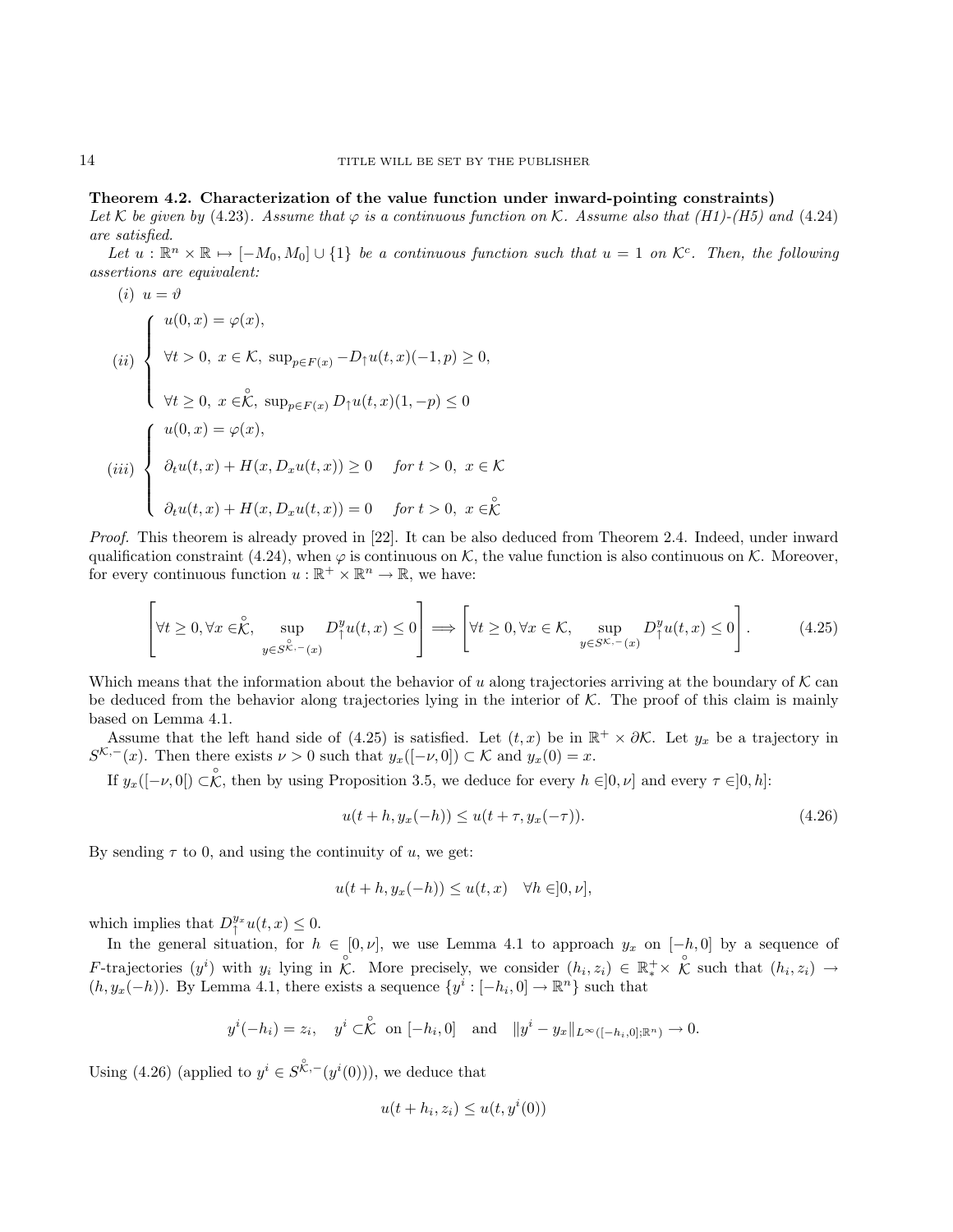# Theorem 4.2. Characterization of the value function under inward-pointing constraints)

Let K be given by (4.23). Assume that  $\varphi$  is a continuous function on K. Assume also that (H1)-(H5) and (4.24) are satisfied.

Let  $u : \mathbb{R}^n \times \mathbb{R} \mapsto [-M_0, M_0] \cup \{1\}$  be a continuous function such that  $u = 1$  on  $\mathcal{K}^c$ . Then, the following assertions are equivalent:

(i) 
$$
u = \vartheta
$$
  
\n(ii) 
$$
\begin{cases}\nu(0, x) = \varphi(x), \\
\forall t > 0, x \in \mathcal{K}, \sup_{p \in F(x)} -D_{\uparrow}u(t, x)(-1, p) \ge 0, \\
\forall t \ge 0, x \in \overset{\circ}{\mathcal{K}}, \sup_{p \in F(x)} D_{\uparrow}u(t, x)(1, -p) \le 0\n\end{cases}
$$
\n(iii) 
$$
\begin{cases}\nu(0, x) = \varphi(x), \\
\partial_t u(t, x) + H(x, D_x u(t, x)) \ge 0 & \text{for } t > 0, x \in \overset{\circ}{\mathcal{K}} \\
\partial_t u(t, x) + H(x, D_x u(t, x)) = 0 & \text{for } t > 0, x \in \overset{\circ}{\mathcal{K}}\n\end{cases}
$$

Proof. This theorem is already proved in [22]. It can be also deduced from Theorem 2.4. Indeed, under inward qualification constraint (4.24), when  $\varphi$  is continuous on K, the value function is also continuous on K. Moreover, for every continuous function  $u : \mathbb{R}^+ \times \mathbb{R}^n \to \mathbb{R}$ , we have:

$$
\left[\forall t \ge 0, \forall x \in \stackrel{\circ}{\mathcal{K}}, \sup_{y \in S^{\stackrel{\circ}{\mathcal{K}}, -}(x)} D^y_{\uparrow} u(t, x) \le 0\right] \Longrightarrow \left[\forall t \ge 0, \forall x \in \mathcal{K}, \sup_{y \in S^{\mathcal{K}, -}(x)} D^y_{\uparrow} u(t, x) \le 0\right].
$$
 (4.25)

Which means that the information about the behavior of u along trajectories arriving at the boundary of  $K$  can be deduced from the behavior along trajectories lying in the interior of  $K$ . The proof of this claim is mainly based on Lemma 4.1.

Assume that the left hand side of (4.25) is satisfied. Let  $(t, x)$  be in  $\mathbb{R}^+ \times \partial \mathcal{K}$ . Let  $y_x$  be a trajectory in  $S^{\mathcal{K},-}(x)$ . Then there exists  $\nu > 0$  such that  $y_x([-\nu,0]) \subset \mathcal{K}$  and  $y_x(0) = x$ .

If  $y_x([-{\nu,0[})\subset\stackrel{\circ}{\mathcal{K}}$ , then by using Proposition 3.5, we deduce for every  $h\in]0,{\nu}]$  and every  $\tau\in]0,h]$ :

$$
u(t + h, y_x(-h)) \le u(t + \tau, y_x(-\tau)).
$$
\n(4.26)

By sending  $\tau$  to 0, and using the continuity of u, we get:

$$
u(t+h, y_x(-h)) \le u(t, x) \quad \forall h \in ]0, \nu],
$$

which implies that  $D_{\uparrow}^{y_x}u(t,x) \leq 0$ .

In the general situation, for  $h \in [0, \nu]$ , we use Lemma 4.1 to approach  $y_x$  on  $[-h, 0]$  by a sequence of F-trajectories  $(y^i)$  with  $y_i$  lying in  $\hat{\mathcal{K}}$ . More precisely, we consider  $(h_i, z_i) \in \mathbb{R}_*^+ \times \hat{\mathcal{K}}$  such that  $(h_i, z_i) \to$  $(h, y_x(-h))$ . By Lemma 4.1, there exists a sequence  $\{y^i : [-h_i, 0] \to \mathbb{R}^n\}$  such that

$$
y^{i}(-h_{i}) = z_{i}, y^{i} \subset \stackrel{\circ}{\mathcal{K}}
$$
 on  $[-h_{i}, 0]$  and  $||y^{i} - y_{x}||_{L^{\infty}([-h_{i}, 0]; \mathbb{R}^{n})} \to 0.$ 

Using (4.26) (applied to  $y^i \in S^{\overset{\circ}{\mathcal{K}}-\check{}}(y^i(0))$ ), we deduce that

$$
u(t + h_i, z_i) \le u(t, y^i(0))
$$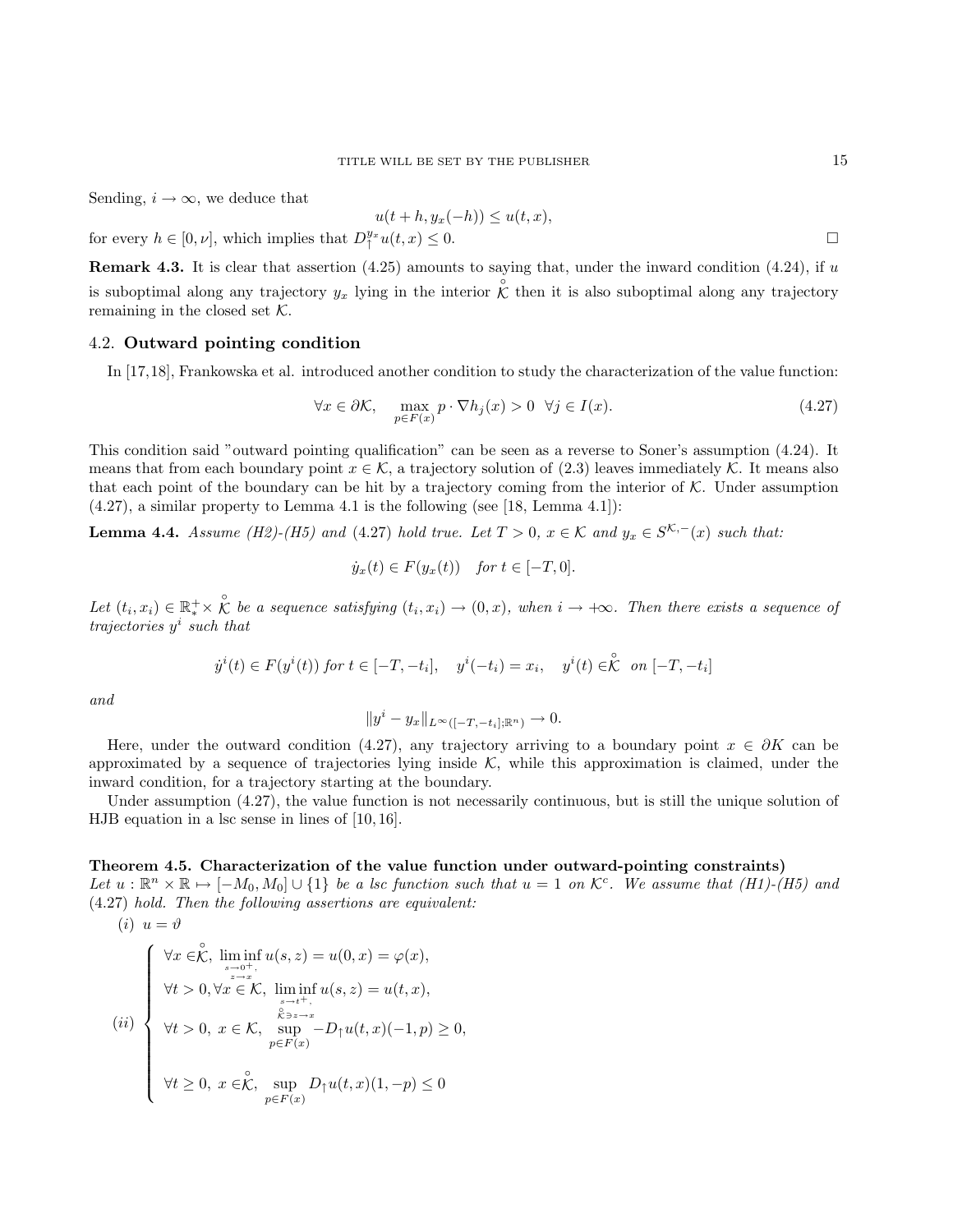Sending,  $i \to \infty$ , we deduce that

$$
u(t+h, y_x(-h)) \le u(t, x),
$$

for every  $h \in [0, \nu]$ , which implies that  $D_{\uparrow}^{y_x} u(t, x) \leq 0$ .

**Remark 4.3.** It is clear that assertion  $(4.25)$  amounts to saying that, under the inward condition  $(4.24)$ , if u is suboptimal along any trajectory  $y_x$  lying in the interior  $\hat{\mathcal{K}}$  then it is also suboptimal along any trajectory remaining in the closed set  $K$ .

## 4.2. Outward pointing condition

In [17,18], Frankowska et al. introduced another condition to study the characterization of the value function:

$$
\forall x \in \partial \mathcal{K}, \quad \max_{p \in F(x)} p \cdot \nabla h_j(x) > 0 \quad \forall j \in I(x). \tag{4.27}
$$

This condition said "outward pointing qualification" can be seen as a reverse to Soner's assumption (4.24). It means that from each boundary point  $x \in \mathcal{K}$ , a trajectory solution of (2.3) leaves immediately  $\mathcal{K}$ . It means also that each point of the boundary can be hit by a trajectory coming from the interior of  $K$ . Under assumption  $(4.27)$ , a similar property to Lemma 4.1 is the following (see [18, Lemma 4.1]):

**Lemma 4.4.** Assume (H2)-(H5) and (4.27) hold true. Let  $T > 0$ ,  $x \in K$  and  $y_x \in S^{K,-}(x)$  such that:

$$
\dot{y}_x(t) \in F(y_x(t)) \quad \text{for } t \in [-T, 0].
$$

Let  $(t_i, x_i) \in \mathbb{R}_*^+ \times \overset{\circ}{\mathcal{K}}$  be a sequence satisfying  $(t_i, x_i) \to (0, x)$ , when  $i \to +\infty$ . Then there exists a sequence of trajectories  $y^i$  such that

$$
\dot{y}^i(t) \in F(y^i(t)) \text{ for } t \in [-T, -t_i], \quad y^i(-t_i) = x_i, \quad y^i(t) \in \stackrel{\circ}{\mathcal{K}} \text{ on } [-T, -t_i]
$$

and

$$
||y^{i} - y_{x}||_{L^{\infty}([-T, -t_{i}]; \mathbb{R}^{n})} \to 0.
$$

Here, under the outward condition (4.27), any trajectory arriving to a boundary point  $x \in \partial K$  can be approximated by a sequence of trajectories lying inside  $K$ , while this approximation is claimed, under the inward condition, for a trajectory starting at the boundary.

Under assumption (4.27), the value function is not necessarily continuous, but is still the unique solution of HJB equation in a lsc sense in lines of [10, 16].

## Theorem 4.5. Characterization of the value function under outward-pointing constraints)

Let  $u : \mathbb{R}^n \times \mathbb{R} \mapsto [-M_0, M_0] \cup \{1\}$  be a lsc function such that  $u = 1$  on  $\mathcal{K}^c$ . We assume that  $(H1)$ - $(H5)$  and (4.27) hold. Then the following assertions are equivalent:

(i) 
$$
u = \vartheta
$$
  
\n
$$
\begin{cases}\n\forall x \in \mathcal{K}, \liminf_{\substack{s \to 0^+ \\ s \neq x}} u(s, z) = u(0, x) = \varphi(x), \\
\forall t > 0, \forall x \in \mathcal{K}, \liminf_{\substack{s \to t^+, \\ \mathcal{K} \ni s \to x}} u(s, z) = u(t, x), \\
\forall t > 0, x \in \mathcal{K}, \sup_{p \in F(x)} -D_{\uparrow}u(t, x)(-1, p) \ge 0, \\
\forall t \ge 0, x \in \mathcal{K}, \sup_{p \in F(x)} D_{\uparrow}u(t, x)(1, -p) \le 0\n\end{cases}
$$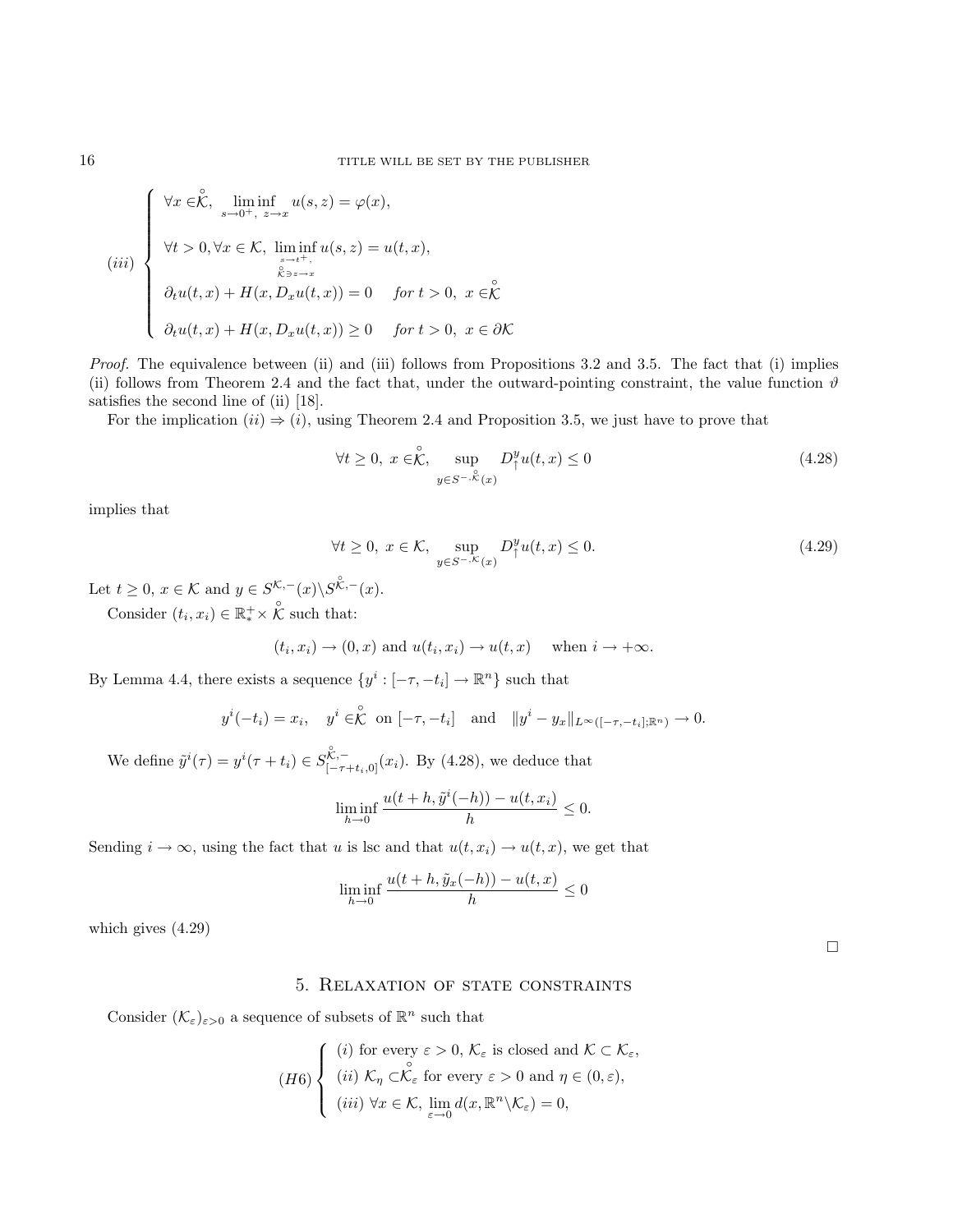$$
(iii)
$$
\n
$$
\begin{cases}\n\forall x \in \stackrel{\circ}{\mathcal{K}}, \liminf_{s \to 0^+, \ z \to x} u(s, z) = \varphi(x), \\
\forall t > 0, \forall x \in \mathcal{K}, \liminf_{s \to t^+, \ z \to x} u(s, z) = u(t, x), \\
\stackrel{\circ}{\mathcal{K}} \liminf_{s \to x} u(s, z) = 0 \quad \text{for } t > 0, \ x \in \stackrel{\circ}{\mathcal{K}} \\
\partial_t u(t, x) + H(x, D_x u(t, x)) \ge 0 \quad \text{for } t > 0, \ x \in \partial \mathcal{K}\n\end{cases}
$$

Proof. The equivalence between (ii) and (iii) follows from Propositions 3.2 and 3.5. The fact that (i) implies (ii) follows from Theorem 2.4 and the fact that, under the outward-pointing constraint, the value function  $\vartheta$ satisfies the second line of (ii) [18].

For the implication  $(ii) \Rightarrow (i)$ , using Theorem 2.4 and Proposition 3.5, we just have to prove that

$$
\forall t \ge 0, \ x \in \stackrel{\circ}{\mathcal{K}}, \ \sup_{y \in S^{-}, \stackrel{\circ}{\mathcal{K}}(x)} D_{\uparrow}^{y} u(t, x) \le 0 \tag{4.28}
$$

implies that

$$
\forall t \ge 0, \ x \in \mathcal{K}, \ \sup_{y \in S^{-,\mathcal{K}}(x)} D^y_\uparrow u(t,x) \le 0. \tag{4.29}
$$

Let  $t \geq 0$ ,  $x \in \mathcal{K}$  and  $y \in S^{\mathcal{K},-}(x) \backslash S^{\overset{\circ}{\mathcal{K}},-}(x)$ .

Consider  $(t_i, x_i) \in \mathbb{R}^+_* \times \overset{\circ}{\mathcal{K}}$  such that:

$$
(t_i, x_i) \rightarrow (0, x)
$$
 and  $u(t_i, x_i) \rightarrow u(t, x)$  when  $i \rightarrow +\infty$ .

By Lemma 4.4, there exists a sequence  $\{y^i : [-\tau, -t_i] \to \mathbb{R}^n\}$  such that

$$
y^{i}(-t_i) = x_i
$$
,  $y^{i} \in \mathcal{K}$  on  $[-\tau, -t_i]$  and  $||y^{i} - y_x||_{L^{\infty}([- \tau, -t_i]; \mathbb{R}^n)} \to 0$ .

We define  $\tilde{y}^i(\tau) = y^i(\tau + t_i) \in S_{[-\tau + t_i, 0]}^{\mathcal{K}, -} (x_i)$ . By (4.28), we deduce that

$$
\liminf_{h \to 0} \frac{u(t+h, \tilde{y}^i(-h)) - u(t, x_i)}{h} \le 0.
$$

Sending  $i \to \infty$ , using the fact that u is lsc and that  $u(t, x_i) \to u(t, x)$ , we get that

$$
\liminf_{h \to 0} \frac{u(t+h, \tilde{y}_x(-h)) - u(t, x)}{h} \le 0
$$

which gives (4.29)

# 5. Relaxation of state constraints

Consider  $(\mathcal{K}_{\varepsilon})_{\varepsilon>0}$  a sequence of subsets of  $\mathbb{R}^n$  such that

$$
(H6)\begin{cases} (i) \text{ for every } \varepsilon > 0, \ \mathcal{K}_{\varepsilon} \text{ is closed and } \mathcal{K} \subset \mathcal{K}_{\varepsilon}, \\ (ii) \ \mathcal{K}_{\eta} \subset \stackrel{\circ}{\mathcal{K}_{\varepsilon}} \text{ for every } \varepsilon > 0 \text{ and } \eta \in (0, \varepsilon), \\ (iii) \ \forall x \in \mathcal{K}, \ \lim_{\varepsilon \to 0} d(x, \mathbb{R}^n \backslash \mathcal{K}_{\varepsilon}) = 0, \end{cases}
$$

 $\Box$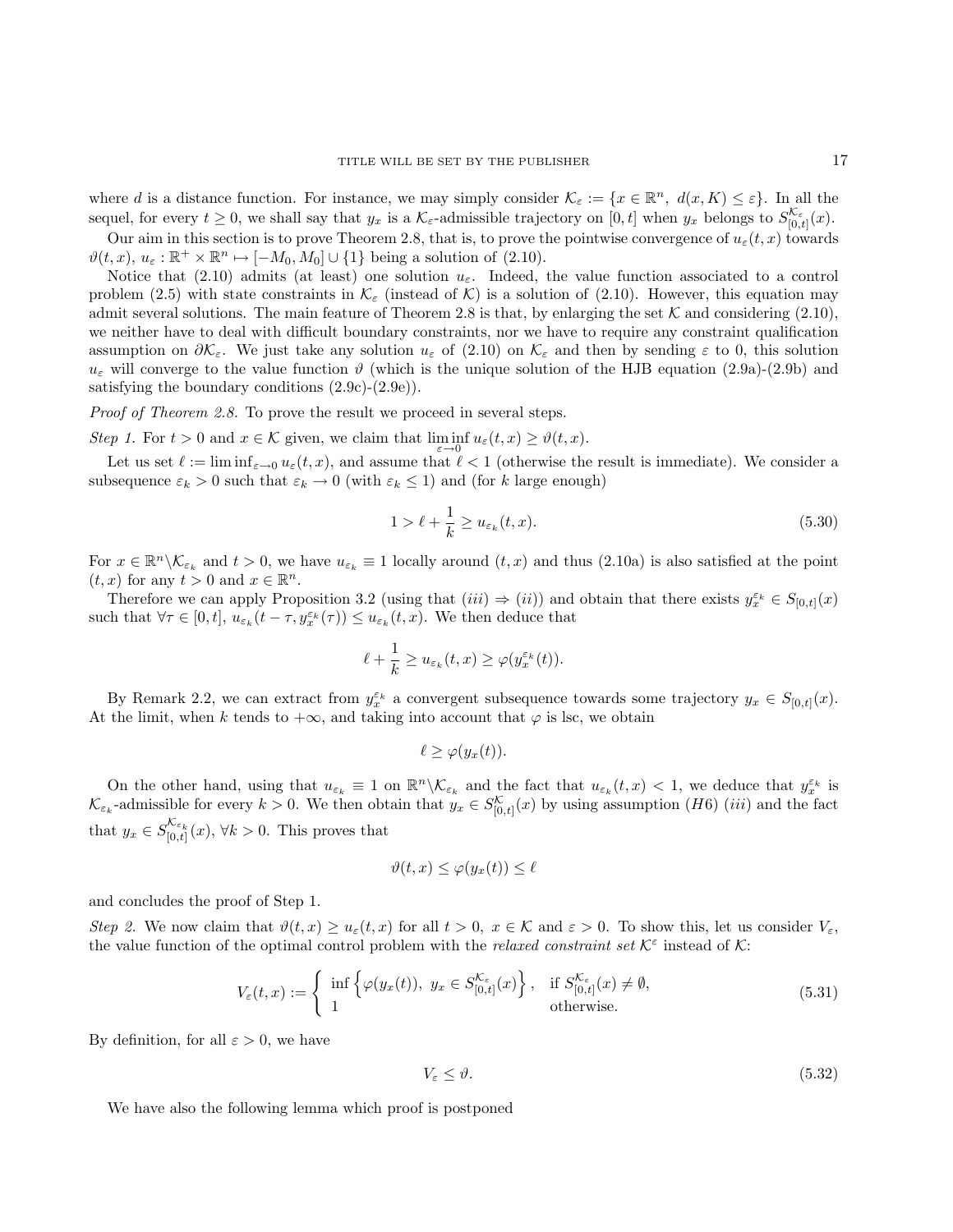where d is a distance function. For instance, we may simply consider  $\mathcal{K}_{\varepsilon} := \{x \in \mathbb{R}^n, d(x, K) \leq \varepsilon\}$ . In all the sequel, for every  $t \geq 0$ , we shall say that  $y_x$  is a  $\mathcal{K}_{\varepsilon}$ -admissible trajectory on  $[0, t]$  when  $y_x$  belongs to  $S_{[0, t]}^{\mathcal{K}_{\varepsilon}}(x)$ .

Our aim in this section is to prove Theorem 2.8, that is, to prove the pointwise convergence of  $u_{\varepsilon}(t, x)$  towards  $\vartheta(t, x), u_{\varepsilon}: \mathbb{R}^+ \times \mathbb{R}^n \mapsto [-M_0, M_0] \cup \{1\}$  being a solution of (2.10).

Notice that (2.10) admits (at least) one solution  $u_{\varepsilon}$ . Indeed, the value function associated to a control problem (2.5) with state constraints in  $\mathcal{K}_{\varepsilon}$  (instead of  $\mathcal{K}$ ) is a solution of (2.10). However, this equation may admit several solutions. The main feature of Theorem 2.8 is that, by enlarging the set  $K$  and considering (2.10), we neither have to deal with difficult boundary constraints, nor we have to require any constraint qualification assumption on  $\partial \mathcal{K}_{\varepsilon}$ . We just take any solution  $u_{\varepsilon}$  of (2.10) on  $\mathcal{K}_{\varepsilon}$  and then by sending  $\varepsilon$  to 0, this solution  $u_{\varepsilon}$  will converge to the value function  $\vartheta$  (which is the unique solution of the HJB equation (2.9a)-(2.9b) and satisfying the boundary conditions  $(2.9c)-(2.9e)$ .

Proof of Theorem 2.8. To prove the result we proceed in several steps.

Step 1. For  $t > 0$  and  $x \in \mathcal{K}$  given, we claim that  $\liminf_{n \to \infty} u_{\varepsilon}(t, x) \geq \vartheta(t, x)$ .

Let us set  $\ell := \liminf_{\varepsilon \to 0} u_{\varepsilon}(t, x)$ , and assume that  $\ell < 1$  (otherwise the result is immediate). We consider a subsequence  $\varepsilon_k > 0$  such that  $\varepsilon_k \to 0$  (with  $\varepsilon_k \leq 1$ ) and (for k large enough)

$$
1 > \ell + \frac{1}{k} \ge u_{\varepsilon_k}(t, x). \tag{5.30}
$$

For  $x \in \mathbb{R}^n \setminus \mathcal{K}_{\varepsilon_k}$  and  $t > 0$ , we have  $u_{\varepsilon_k} \equiv 1$  locally around  $(t, x)$  and thus  $(2.10a)$  is also satisfied at the point  $(t, x)$  for any  $t > 0$  and  $x \in \mathbb{R}^n$ .

Therefore we can apply Proposition 3.2 (using that  $(iii) \Rightarrow (ii)$ ) and obtain that there exists  $y_x^{\varepsilon_k} \in S_{[0,t]}(x)$ such that  $\forall \tau \in [0, t], u_{\varepsilon_k}(t - \tau, y_x^{\varepsilon_k}(\tau)) \leq u_{\varepsilon_k}(t, x)$ . We then deduce that

$$
\ell + \frac{1}{k} \ge u_{\varepsilon_k}(t,x) \ge \varphi(y_x^{\varepsilon_k}(t)).
$$

By Remark 2.2, we can extract from  $y_x^{\varepsilon_k}$  a convergent subsequence towards some trajectory  $y_x \in S_{[0,t]}(x)$ . At the limit, when k tends to  $+\infty$ , and taking into account that  $\varphi$  is lsc, we obtain

$$
\ell \geq \varphi(y_x(t)).
$$

On the other hand, using that  $u_{\varepsilon_k} \equiv 1$  on  $\mathbb{R}^n \setminus \mathcal{K}_{\varepsilon_k}$  and the fact that  $u_{\varepsilon_k}(t,x) < 1$ , we deduce that  $y_x^{\varepsilon_k}$  is  $\mathcal{K}_{\varepsilon_k}$ -admissible for every  $k > 0$ . We then obtain that  $y_x \in S^{\mathcal{K}}_{[0,t]}(x)$  by using assumption  $(H6)$  (iii) and the fact that  $y_x \in S^{\mathcal{K}_{\varepsilon_k}}_{[0,t]}(x), \forall k > 0$ . This proves that

$$
\vartheta(t,x) \leq \varphi(y_x(t)) \leq \ell
$$

and concludes the proof of Step 1.

Step 2. We now claim that  $\vartheta(t,x) \geq u_{\varepsilon}(t,x)$  for all  $t > 0$ ,  $x \in \mathcal{K}$  and  $\varepsilon > 0$ . To show this, let us consider  $V_{\varepsilon}$ , the value function of the optimal control problem with the *relaxed constraint set*  $K^{\varepsilon}$  instead of K:

$$
V_{\varepsilon}(t,x) := \begin{cases} \inf \left\{ \varphi(y_x(t)), \ y_x \in S_{[0,t]}^{\mathcal{K}_{\varepsilon}}(x) \right\}, & \text{if } S_{[0,t]}^{\mathcal{K}_{\varepsilon}}(x) \neq \emptyset, \\ 1 & \text{otherwise.} \end{cases}
$$
(5.31)

By definition, for all  $\varepsilon > 0$ , we have

$$
V_{\varepsilon} \leq \vartheta. \tag{5.32}
$$

We have also the following lemma which proof is postponed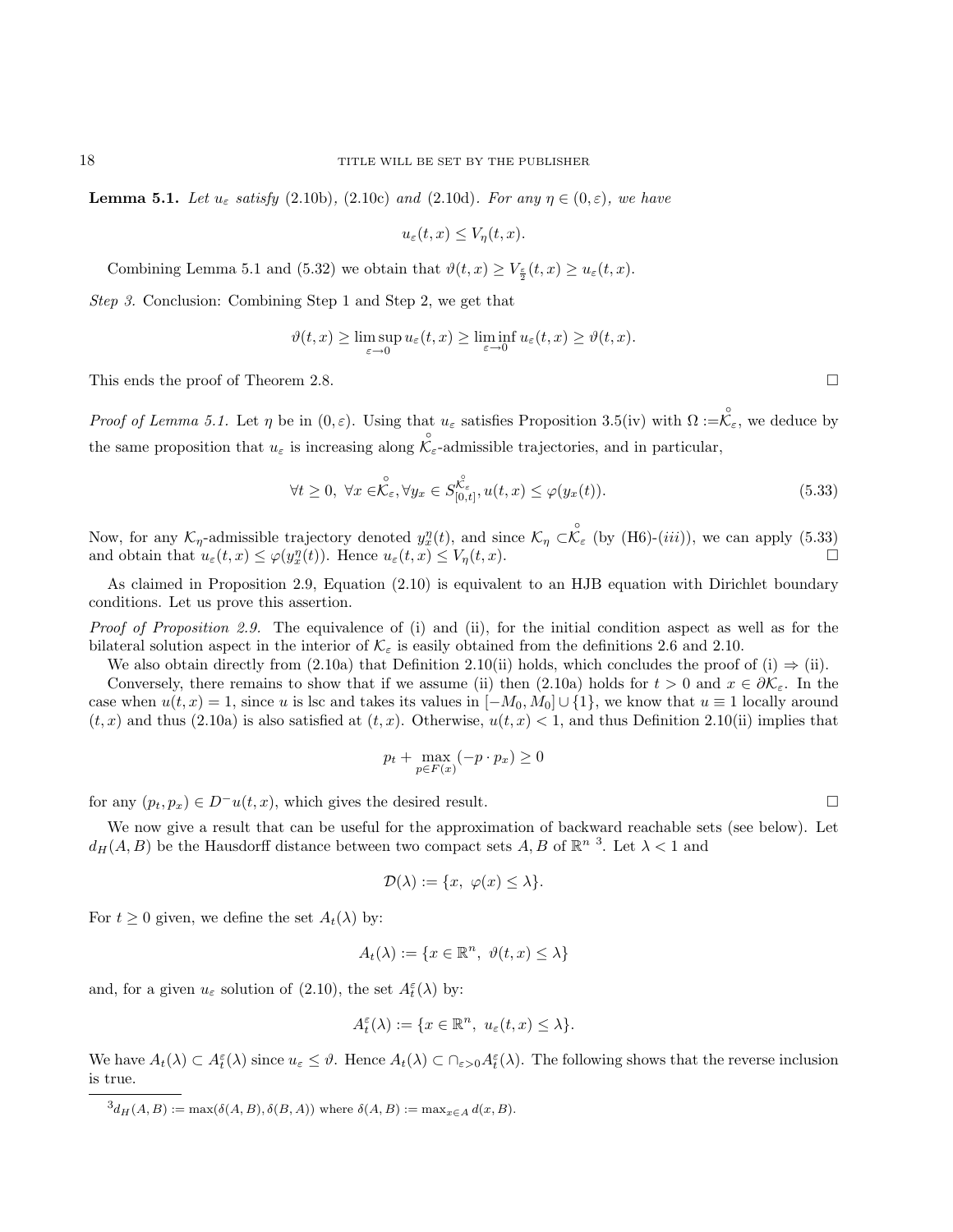**Lemma 5.1.** Let  $u_{\varepsilon}$  satisfy (2.10b), (2.10c) and (2.10d). For any  $\eta \in (0,\varepsilon)$ , we have

$$
u_{\varepsilon}(t,x) \le V_{\eta}(t,x).
$$

Combining Lemma 5.1 and (5.32) we obtain that  $\vartheta(t,x) \ge V_{\frac{\varepsilon}{2}}(t,x) \ge u_{\varepsilon}(t,x)$ .

Step 3. Conclusion: Combining Step 1 and Step 2, we get that

$$
\vartheta(t,x) \ge \limsup_{\varepsilon \to 0} u_{\varepsilon}(t,x) \ge \liminf_{\varepsilon \to 0} u_{\varepsilon}(t,x) \ge \vartheta(t,x).
$$

This ends the proof of Theorem 2.8.

Proof of Lemma 5.1. Let  $\eta$  be in  $(0, \varepsilon)$ . Using that  $u_{\varepsilon}$  satisfies Proposition 3.5(iv) with  $\Omega := \mathcal{K}_{\varepsilon}$ , we deduce by the same proposition that  $u_{\varepsilon}$  is increasing along  $\mathcal{K}_{\varepsilon}$ -admissible trajectories, and in particular,

$$
\forall t \geq 0, \ \forall x \in \stackrel{\circ}{\mathcal{K}}_{\varepsilon}, \forall y_x \in S_{[0,t]}^{\stackrel{\circ}{\mathcal{K}}_{\varepsilon}}, u(t,x) \leq \varphi(y_x(t)). \tag{5.33}
$$

Now, for any  $\mathcal{K}_\eta$ -admissible trajectory denoted  $y_x^\eta(t)$ , and since  $\mathcal{K}_\eta \subset \stackrel{\circ}{\mathcal{K}}_{\varepsilon}$  (by (H6)-(*iii*)), we can apply (5.33) and obtain that  $u_{\varepsilon}(t,x) \leq \varphi(y_x^{\eta}(t))$ . Hence  $u_{\varepsilon}(t,x) \leq V_{\eta}(t,x)$ .

As claimed in Proposition 2.9, Equation (2.10) is equivalent to an HJB equation with Dirichlet boundary conditions. Let us prove this assertion.

Proof of Proposition 2.9. The equivalence of (i) and (ii), for the initial condition aspect as well as for the bilateral solution aspect in the interior of  $\mathcal{K}_{\varepsilon}$  is easily obtained from the definitions 2.6 and 2.10.

We also obtain directly from (2.10a) that Definition 2.10(ii) holds, which concludes the proof of (i)  $\Rightarrow$  (ii).

Conversely, there remains to show that if we assume (ii) then (2.10a) holds for  $t > 0$  and  $x \in \partial \mathcal{K}_{\varepsilon}$ . In the case when  $u(t, x) = 1$ , since u is lsc and takes its values in  $[-M_0, M_0] \cup \{1\}$ , we know that  $u \equiv 1$  locally around  $(t, x)$  and thus (2.10a) is also satisfied at  $(t, x)$ . Otherwise,  $u(t, x) < 1$ , and thus Definition 2.10(ii) implies that

$$
p_t + \max_{p \in F(x)} (-p \cdot p_x) \ge 0
$$

for any  $(p_t, p_x) \in D^{-u}(t, x)$ , which gives the desired result.

We now give a result that can be useful for the approximation of backward reachable sets (see below). Let  $d_H(A, B)$  be the Hausdorff distance between two compact sets  $A, B$  of  $\mathbb{R}^{n-3}$ . Let  $\lambda < 1$  and

$$
\mathcal{D}(\lambda) := \{x, \ \varphi(x) \le \lambda\}.
$$

For  $t \geq 0$  given, we define the set  $A_t(\lambda)$  by:

$$
A_t(\lambda) := \{ x \in \mathbb{R}^n, \ \vartheta(t, x) \le \lambda \}
$$

and, for a given  $u_{\varepsilon}$  solution of (2.10), the set  $A_t^{\varepsilon}(\lambda)$  by:

$$
A_t^{\varepsilon}(\lambda) := \{ x \in \mathbb{R}^n, \ u_{\varepsilon}(t,x) \le \lambda \}.
$$

We have  $A_t(\lambda) \subset A_t^{\varepsilon}(\lambda)$  since  $u_{\varepsilon} \leq \vartheta$ . Hence  $A_t(\lambda) \subset \bigcap_{\varepsilon > 0} A_t^{\varepsilon}(\lambda)$ . The following shows that the reverse inclusion is true.

 ${}^{3}d_{H}(A, B) := \max(\delta(A, B), \delta(B, A))$  where  $\delta(A, B) := \max_{x \in A} d(x, B)$ .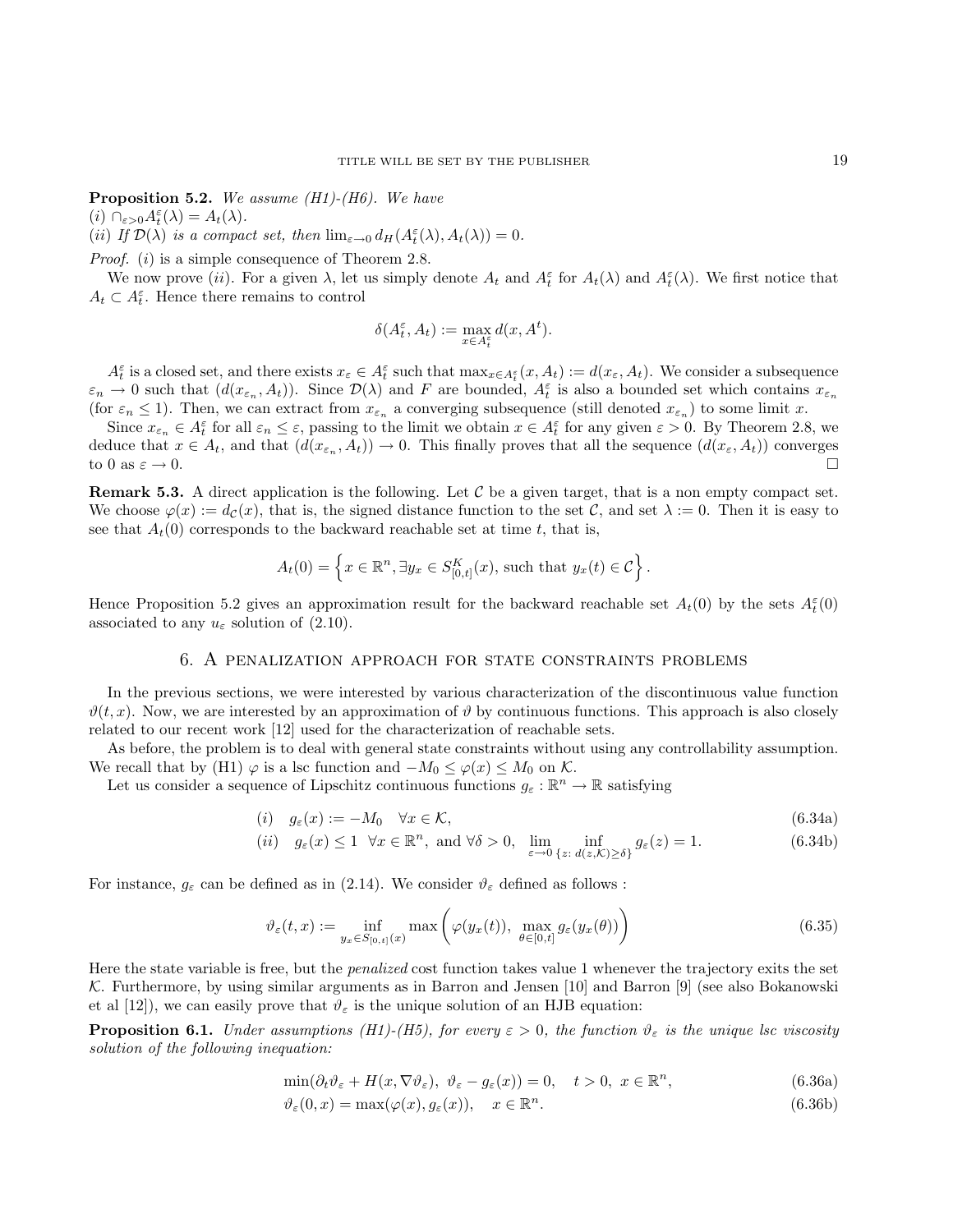**Proposition 5.2.** We assume  $(H1)$ - $(H6)$ . We have

(*i*)  $\bigcap_{\varepsilon > 0} A_t^{\varepsilon}(\lambda) = A_t(\lambda).$ 

(ii) If  $\mathcal{D}(\lambda)$  is a compact set, then  $\lim_{\varepsilon \to 0} d_H(A_t^{\varepsilon}(\lambda), A_t(\lambda)) = 0$ .

*Proof.* (*i*) is a simple consequence of Theorem 2.8.

We now prove (ii). For a given  $\lambda$ , let us simply denote  $A_t$  and  $A_t^{\varepsilon}$  for  $A_t(\lambda)$  and  $A_t^{\varepsilon}(\lambda)$ . We first notice that  $A_t \subset A_t^{\varepsilon}$ . Hence there remains to control

$$
\delta(A_t^{\varepsilon}, A_t) := \max_{x \in A_t^{\varepsilon}} d(x, A^t).
$$

 $A_t^{\varepsilon}$  is a closed set, and there exists  $x_{\varepsilon} \in A_t^{\varepsilon}$  such that  $\max_{x \in A_t^{\varepsilon}} (x, A_t) := d(x_{\varepsilon}, A_t)$ . We consider a subsequence  $\varepsilon_n \to 0$  such that  $(d(x_{\varepsilon_n}, A_t))$ . Since  $\mathcal{D}(\lambda)$  and F are bounded,  $A_t^{\varepsilon}$  is also a bounded set which contains  $x_{\varepsilon_n}$ (for  $\varepsilon_n \leq 1$ ). Then, we can extract from  $x_{\varepsilon_n}$  a converging subsequence (still denoted  $x_{\varepsilon_n}$ ) to some limit x.

Since  $x_{\varepsilon_n} \in A_t^{\varepsilon}$  for all  $\varepsilon_n \leq \varepsilon$ , passing to the limit we obtain  $x \in A_t^{\varepsilon}$  for any given  $\varepsilon > 0$ . By Theorem 2.8, we deduce that  $x \in A_t$ , and that  $(d(x_{\varepsilon_n}, A_t)) \to 0$ . This finally proves that all the sequence  $(d(x_{\varepsilon}, A_t))$  converges to  $0$  as  $\varepsilon \to 0$ .

**Remark 5.3.** A direct application is the following. Let  $\mathcal{C}$  be a given target, that is a non empty compact set. We choose  $\varphi(x) := d_{\mathcal{C}}(x)$ , that is, the signed distance function to the set  $\mathcal{C}$ , and set  $\lambda := 0$ . Then it is easy to see that  $A_t(0)$  corresponds to the backward reachable set at time t, that is,

$$
A_t(0) = \left\{ x \in \mathbb{R}^n, \exists y_x \in S^K_{[0,t]}(x), \text{ such that } y_x(t) \in C \right\}.
$$

Hence Proposition 5.2 gives an approximation result for the backward reachable set  $A_t(0)$  by the sets  $A_t^{\varepsilon}(0)$ associated to any  $u_{\varepsilon}$  solution of (2.10).

#### 6. A penalization approach for state constraints problems

In the previous sections, we were interested by various characterization of the discontinuous value function  $\vartheta(t, x)$ . Now, we are interested by an approximation of  $\vartheta$  by continuous functions. This approach is also closely related to our recent work [12] used for the characterization of reachable sets.

As before, the problem is to deal with general state constraints without using any controllability assumption. We recall that by (H1)  $\varphi$  is a lsc function and  $-M_0 \leq \varphi(x) \leq M_0$  on K.

Let us consider a sequence of Lipschitz continuous functions  $g_{\varepsilon}: \mathbb{R}^n \to \mathbb{R}$  satisfying

$$
(i) \quad g_{\varepsilon}(x) := -M_0 \quad \forall x \in \mathcal{K}, \tag{6.34a}
$$

(*ii*) 
$$
g_{\varepsilon}(x) \le 1 \quad \forall x \in \mathbb{R}^n
$$
, and  $\forall \delta > 0$ ,  $\lim_{\varepsilon \to 0} \inf_{\{z : d(z, \mathcal{K}) \ge \delta\}} g_{\varepsilon}(z) = 1.$  (6.34b)

For instance,  $g_{\varepsilon}$  can be defined as in (2.14). We consider  $\vartheta_{\varepsilon}$  defined as follows :

$$
\vartheta_{\varepsilon}(t,x) := \inf_{y_x \in S_{[0,t]}(x)} \max\left(\varphi(y_x(t)), \, \max_{\theta \in [0,t]} g_{\varepsilon}(y_x(\theta))\right) \tag{6.35}
$$

Here the state variable is free, but the *penalized* cost function takes value 1 whenever the trajectory exits the set K. Furthermore, by using similar arguments as in Barron and Jensen [10] and Barron [9] (see also Bokanowski et al [12]), we can easily prove that  $\vartheta_{\varepsilon}$  is the unique solution of an HJB equation:

**Proposition 6.1.** Under assumptions (H1)-(H5), for every  $\varepsilon > 0$ , the function  $\vartheta_{\varepsilon}$  is the unique lsc viscosity solution of the following inequation:

$$
\min(\partial_t \vartheta_{\varepsilon} + H(x, \nabla \vartheta_{\varepsilon}), \ \vartheta_{\varepsilon} - g_{\varepsilon}(x)) = 0, \quad t > 0, \ x \in \mathbb{R}^n,
$$
\n(6.36a)

$$
\vartheta_{\varepsilon}(0,x) = \max(\varphi(x), g_{\varepsilon}(x)), \quad x \in \mathbb{R}^n. \tag{6.36b}
$$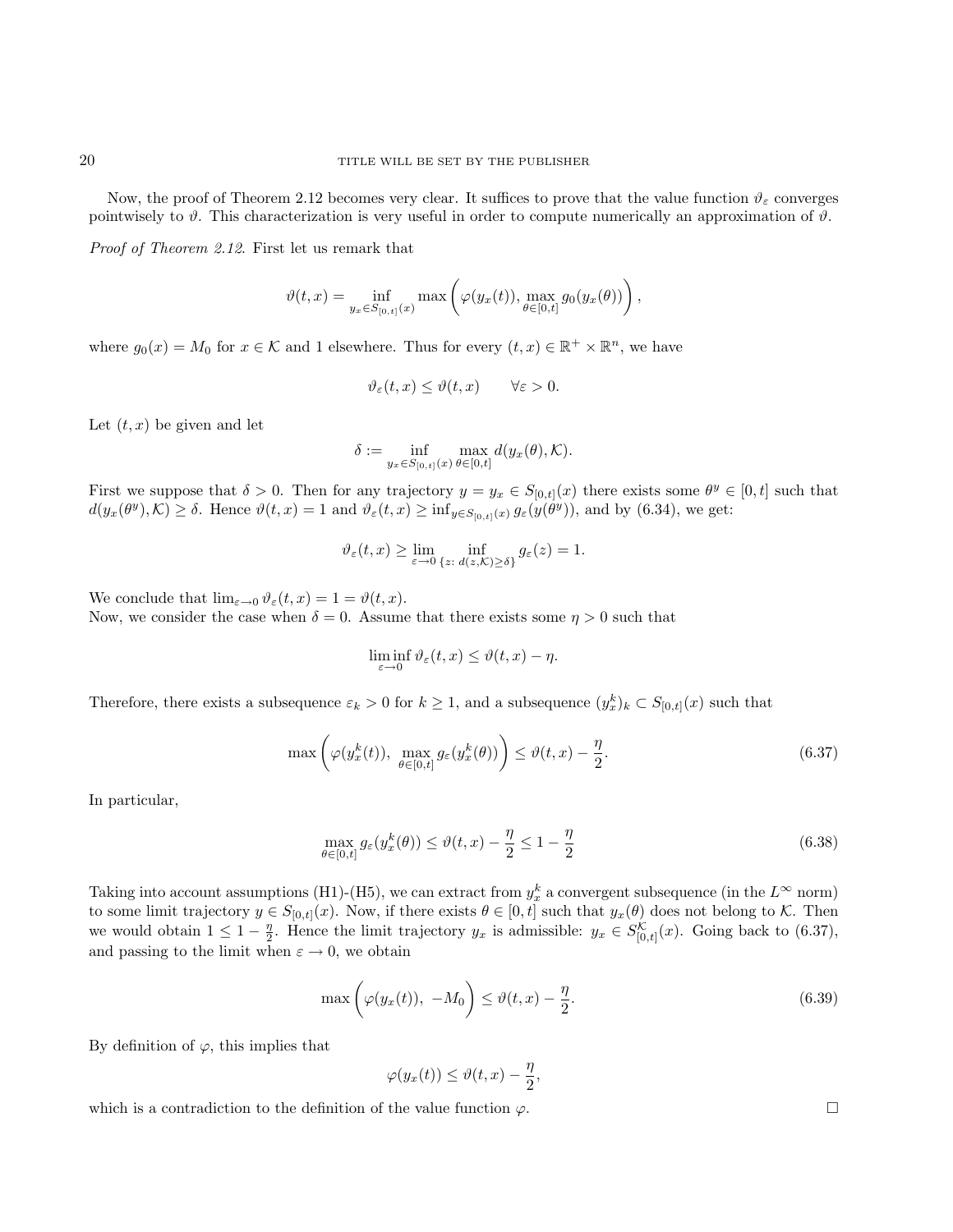Now, the proof of Theorem 2.12 becomes very clear. It suffices to prove that the value function  $\vartheta_{\varepsilon}$  converges pointwisely to  $\vartheta$ . This characterization is very useful in order to compute numerically an approximation of  $\vartheta$ .

Proof of Theorem 2.12. First let us remark that

$$
\vartheta(t,x) = \inf_{y_x \in S_{[0,t]}(x)} \max \left( \varphi(y_x(t)), \max_{\theta \in [0,t]} g_0(y_x(\theta)) \right),
$$

where  $g_0(x) = M_0$  for  $x \in \mathcal{K}$  and 1 elsewhere. Thus for every  $(t, x) \in \mathbb{R}^+ \times \mathbb{R}^n$ , we have

$$
\vartheta_{\varepsilon}(t,x) \le \vartheta(t,x) \qquad \forall \varepsilon > 0.
$$

Let  $(t, x)$  be given and let

$$
\delta := \inf_{y_x \in S_{[0,t]}(x)} \max_{\theta \in [0,t]} d(y_x(\theta), \mathcal{K}).
$$

First we suppose that  $\delta > 0$ . Then for any trajectory  $y = y_x \in S_{[0,t]}(x)$  there exists some  $\theta^y \in [0,t]$  such that  $d(y_x(\theta^y), \mathcal{K}) \geq \delta$ . Hence  $\vartheta(t, x) = 1$  and  $\vartheta_{\varepsilon}(t, x) \geq \inf_{y \in S_{[0,t]}(x)} g_{\varepsilon}(y(\theta^y))$ , and by (6.34), we get:

$$
\vartheta_{\varepsilon}(t,x) \ge \lim_{\varepsilon \to 0} \inf_{\{z: d(z,\mathcal{K}) \ge \delta\}} g_{\varepsilon}(z) = 1.
$$

We conclude that  $\lim_{\varepsilon \to 0} \vartheta_{\varepsilon}(t,x) = 1 = \vartheta(t,x)$ . Now, we consider the case when  $\delta = 0$ . Assume that there exists some  $\eta > 0$  such that

$$
\liminf_{\varepsilon \to 0} \vartheta_{\varepsilon}(t,x) \leq \vartheta(t,x) - \eta.
$$

Therefore, there exists a subsequence  $\varepsilon_k > 0$  for  $k \ge 1$ , and a subsequence  $(y_x^k)_k \subset S_{[0,t]}(x)$  such that

$$
\max\left(\varphi(y_x^k(t)), \ \max_{\theta \in [0,t]} g_{\varepsilon}(y_x^k(\theta))\right) \le \vartheta(t,x) - \frac{\eta}{2}.\tag{6.37}
$$

In particular,

$$
\max_{\theta \in [0,t]} g_{\varepsilon}(y_x^k(\theta)) \le \vartheta(t,x) - \frac{\eta}{2} \le 1 - \frac{\eta}{2}
$$
\n(6.38)

Taking into account assumptions (H1)-(H5), we can extract from  $y_x^k$  a convergent subsequence (in the  $L^\infty$  norm) to some limit trajectory  $y \in S_{[0,t]}(x)$ . Now, if there exists  $\theta \in [0,t]$  such that  $y_x(\theta)$  does not belong to K. Then we would obtain  $1 \leq 1 - \frac{\eta}{2}$ . Hence the limit trajectory  $y_x$  is admissible:  $y_x \in S^{\mathcal{K}}_{[0,t]}(x)$ . Going back to (6.37), and passing to the limit when  $\varepsilon \to 0$ , we obtain

$$
\max\left(\varphi(y_x(t)), -M_0\right) \le \vartheta(t, x) - \frac{\eta}{2}.\tag{6.39}
$$

By definition of  $\varphi$ , this implies that

$$
\varphi(y_x(t)) \le \vartheta(t,x) - \frac{\eta}{2},
$$

which is a contradiction to the definition of the value function  $\varphi$ .